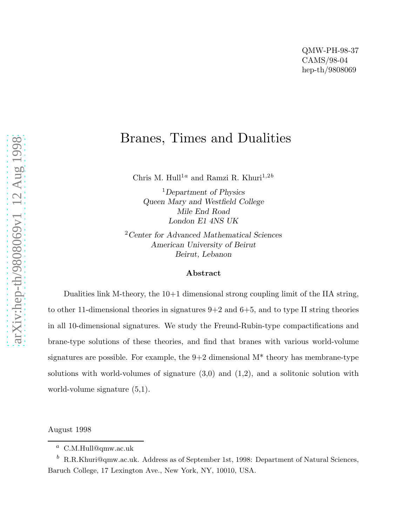# Branes, Times and Dualities

Chris M. Hull<sup>1a</sup> and Ramzi R. Khuri<sup>1,2b</sup>

<sup>1</sup>Department of Physics Queen Mary and Westfield College Mile End Road London E1 4NS UK

<sup>2</sup> Center for Advanced Mathematical Sciences American University of Beirut Beirut, Lebanon

#### Abstract

Dualities link M-theory, the 10+1 dimensional strong coupling limit of the IIA string, to other 11-dimensional theories in signatures  $9+2$  and  $6+5$ , and to type II string theories in all 10-dimensional signatures. We study the Freund-Rubin-type compactifications and brane-type solutions of these theories, and find that branes with various world-volume signatures are possible. For example, the  $9+2$  dimensional  $M^*$  theory has membrane-type solutions with world-volumes of signature  $(3,0)$  and  $(1,2)$ , and a solitonic solution with world-volume signature (5,1).

August 1998

 $a$  C.M.Hull@qmw.ac.uk

 $b$  R.R.Khuri@qmw.ac.uk. Address as of September 1st, 1998: Department of Natural Sciences, Baruch College, 17 Lexington Ave., New York, NY, 10010, USA.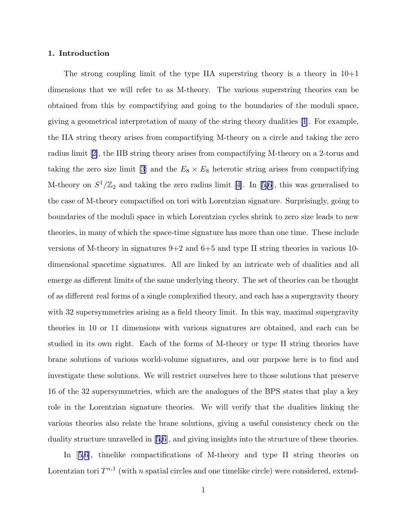# 1. Introduction

The strong coupling limit of the type IIA superstring theory is a theory in  $10+1$ dimensions that we will refer to as M-theory. The various superstring theories can be obtained from this by compactifying and going to the boundaries of the moduli space, giving a geometrical interpretation of many of the string theory dualities [\[1](#page-34-0)]. For example, the IIA string theory arises from compactifying M-theory on a circle and taking the zero radius limit[[2\]](#page-34-0), the IIB string theory arises from compactifying M-theory on a 2-torus and taking the zero size limit [\[3](#page-34-0)] and the  $E_8 \times E_8$  heterotic string arises from compactifying M-theoryon  $S^1/\mathbb{Z}_2$  and taking the zero radius limit [[4\]](#page-34-0). In [[5,6](#page-34-0)], this was generalised to the case of M-theory compactified on tori with Lorentzian signature. Surprisingly, going to boundaries of the moduli space in which Lorentzian cycles shrink to zero size leads to new theories, in many of which the space-time signature has more than one time. These include versions of M-theory in signatures 9+2 and 6+5 and type II string theories in various 10 dimensional spacetime signatures. All are linked by an intricate web of dualities and all emerge as different limits of the same underlying theory. The set of theories can be thought of as different real forms of a single complexified theory, and each has a supergravity theory with 32 supersymmetries arising as a field theory limit. In this way, maximal supergravity theories in 10 or 11 dimensions with various signatures are obtained, and each can be studied in its own right. Each of the forms of M-theory or type II string theories have brane solutions of various world-volume signatures, and our purpose here is to find and investigate these solutions. We will restrict ourselves here to those solutions that preserve 16 of the 32 supersymmetries, which are the analogues of the BPS states that play a key role in the Lorentzian signature theories. We will verify that the dualities linking the various theories also relate the brane solutions, giving a useful consistency check on the duality structure unravelled in [\[5,6](#page-34-0)], and giving insights into the structure of these theories.

In[[5,6](#page-34-0)], timelike compactifications of M-theory and type II string theories on Lorentzian tori  $T^{n,1}$  (with n spatial circles and one timelike circle) were considered, extend-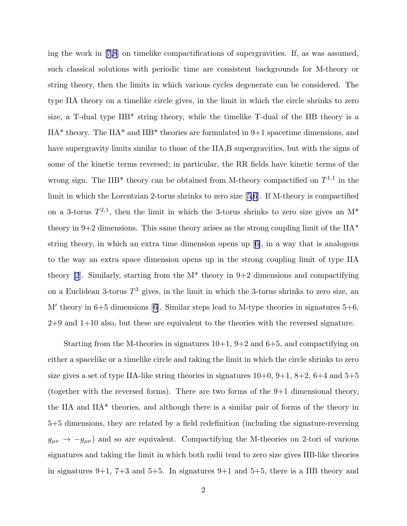ing the work in[[7,8](#page-34-0)] on timelike compactifications of supergravities. If, as was assumed, such classical solutions with periodic time are consistent backgrounds for M-theory or string theory, then the limits in which various cycles degenerate can be considered. The type IIA theory on a timelike circle gives, in the limit in which the circle shrinks to zero size, a T-dual type IIB\* string theory, while the timelike T-dual of the IIB theory is a IIA\* theory. The IIA\* and IIB\* theories are formulated in 9+1 spacetime dimensions, and have supergravity limits similar to those of the IIA,B supergravities, but with the signs of some of the kinetic terms reversed; in particular, the RR fields have kinetic terms of the wrong sign. The IIB<sup>\*</sup> theory can be obtained from M-theory compactified on  $T^{1,1}$  in the limit in which the Lorentzian 2-torus shrinks to zero size[[5,6](#page-34-0)]. If M-theory is compactified on a 3-torus  $T^{2,1}$ , then the limit in which the 3-torus shrinks to zero size gives an  $M^*$ theory in 9+2 dimensions. This same theory arises as the strong coupling limit of the  $IIA^*$ string theory, in which an extra time dimension opens up[[6\]](#page-34-0), in a way that is analogous to the way an extra space dimension opens up in the strong coupling limit of type IIA theory [\[2](#page-34-0)]. Similarly, starting from the  $M^*$  theory in 9+2 dimensions and compactifying on a Euclidean 3-torus  $T^3$  gives, in the limit in which the 3-torus shrinks to zero size, an M′ theory in 6+5 dimensions[[6\]](#page-34-0). Similar steps lead to M-type theories in signatures 5+6, 2+9 and 1+10 also, but these are equivalent to the theories with the reversed signature.

Starting from the M-theories in signatures  $10+1$ ,  $9+2$  and  $6+5$ , and compactifying on either a spacelike or a timelike circle and taking the limit in which the circle shrinks to zero size gives a set of type IIA-like string theories in signatures  $10+0$ ,  $9+1$ ,  $8+2$ ,  $6+4$  and  $5+5$ (together with the reversed forms). There are two forms of the 9+1 dimensional theory, the IIA and IIA\* theories, and although there is a similar pair of forms of the theory in 5+5 dimensions, they are related by a field redefinition (including the signature-reversing  $g_{\mu\nu} \rightarrow -g_{\mu\nu}$ ) and so are equivalent. Compactifying the M-theories on 2-tori of various signatures and taking the limit in which both radii tend to zero size gives IIB-like theories in signatures  $9+1$ ,  $7+3$  and  $5+5$ . In signatures  $9+1$  and  $5+5$ , there is a IIB theory and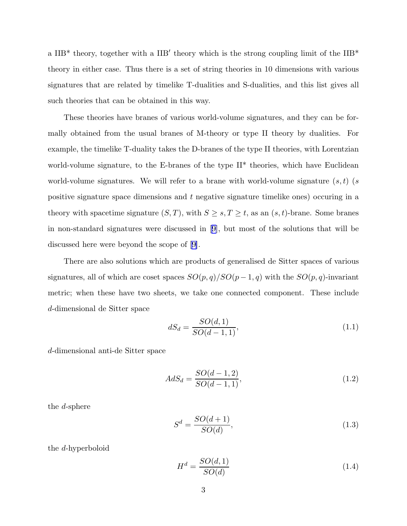<span id="page-3-0"></span>a IIB<sup>\*</sup> theory, together with a IIB' theory which is the strong coupling limit of the IIB<sup>\*</sup> theory in either case. Thus there is a set of string theories in 10 dimensions with various signatures that are related by timelike T-dualities and S-dualities, and this list gives all such theories that can be obtained in this way.

These theories have branes of various world-volume signatures, and they can be formally obtained from the usual branes of M-theory or type II theory by dualities. For example, the timelike T-duality takes the D-branes of the type II theories, with Lorentzian world-volume signature, to the E-branes of the type II<sup>\*</sup> theories, which have Euclidean world-volume signatures. We will refer to a brane with world-volume signature  $(s, t)$  (s positive signature space dimensions and t negative signature timelike ones) occuring in a theory with spacetime signature  $(S, T)$ , with  $S \geq s, T \geq t$ , as an  $(s, t)$ -brane. Some branes in non-standard signatures were discussed in[[9\]](#page-34-0), but most of the solutions that will be discussed here were beyond the scope of[[9\]](#page-34-0).

There are also solutions which are products of generalised de Sitter spaces of various signatures, all of which are coset spaces  $SO(p, q)/SO(p-1, q)$  with the  $SO(p, q)$ -invariant metric; when these have two sheets, we take one connected component. These include d-dimensional de Sitter space

$$
dS_d = \frac{SO(d,1)}{SO(d-1,1)},
$$
\n(1.1)

d-dimensional anti-de Sitter space

$$
AdS_d = \frac{SO(d-1,2)}{SO(d-1,1)},
$$
\n(1.2)

the d-sphere

$$
S^d = \frac{SO(d+1)}{SO(d)},\tag{1.3}
$$

the d-hyperboloid

$$
H^d = \frac{SO(d,1)}{SO(d)}\tag{1.4}
$$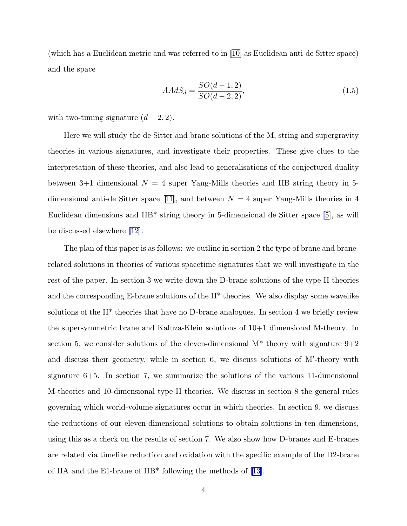<span id="page-4-0"></span>(which has a Euclidean metric and was referred to in[[10\]](#page-34-0) as Euclidean anti-de Sitter space) and the space

$$
AAdS_d = \frac{SO(d-1,2)}{SO(d-2,2)},
$$
\n(1.5)

with two-timing signature  $(d-2, 2)$ .

Here we will study the de Sitter and brane solutions of the M, string and supergravity theories in various signatures, and investigate their properties. These give clues to the interpretation of these theories, and also lead to generalisations of the conjectured duality between 3+1 dimensional  $N = 4$  super Yang-Mills theories and IIB string theory in 5-dimensionalanti-de Sitter space [[11\]](#page-34-0), and between  $N = 4$  super Yang-Mills theories in 4 Euclidean dimensions and IIB\* string theory in 5-dimensional de Sitter space [\[5](#page-34-0)], as will be discussed elsewhere[[12\]](#page-34-0).

The plan of this paper is as follows: we outline in section 2 the type of brane and branerelated solutions in theories of various spacetime signatures that we will investigate in the rest of the paper. In section 3 we write down the D-brane solutions of the type II theories and the corresponding E-brane solutions of the II\* theories. We also display some wavelike solutions of the II\* theories that have no D-brane analogues. In section 4 we briefly review the supersymmetric brane and Kaluza-Klein solutions of 10+1 dimensional M-theory. In section 5, we consider solutions of the eleven-dimensional  $M^*$  theory with signature  $9+2$ and discuss their geometry, while in section 6, we discuss solutions of M'-theory with signature 6+5. In section 7, we summarize the solutions of the various 11-dimensional M-theories and 10-dimensional type II theories. We discuss in section 8 the general rules governing which world-volume signatures occur in which theories. In section 9, we discuss the reductions of our eleven-dimensional solutions to obtain solutions in ten dimensions, using this as a check on the results of section 7. We also show how D-branes and E-branes are related via timelike reduction and oxidation with the specific example of the D2-brane of IIA and the E1-brane of IIB\* following the methods of[[13](#page-34-0)].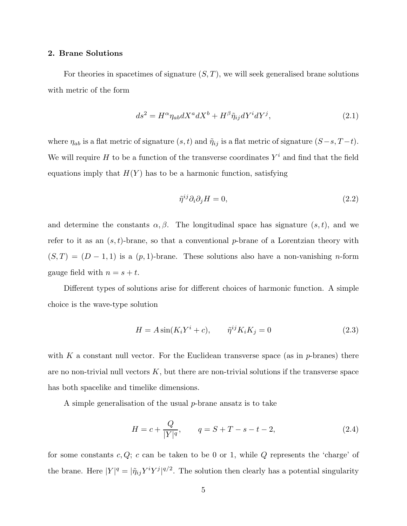# <span id="page-5-0"></span>2. Brane Solutions

For theories in spacetimes of signature  $(S, T)$ , we will seek generalised brane solutions with metric of the form

$$
ds^{2} = H^{\alpha} \eta_{ab} dX^{a} dX^{b} + H^{\beta} \tilde{\eta}_{ij} dY^{i} dY^{j}, \qquad (2.1)
$$

where  $\eta_{ab}$  is a flat metric of signature  $(s, t)$  and  $\tilde{\eta}_{ij}$  is a flat metric of signature  $(S-s, T-t)$ . We will require H to be a function of the transverse coordinates  $Y^i$  and find that the field equations imply that  $H(Y)$  has to be a harmonic function, satisfying

$$
\tilde{\eta}^{ij}\partial_i\partial_j H = 0,\tag{2.2}
$$

and determine the constants  $\alpha, \beta$ . The longitudinal space has signature  $(s, t)$ , and we refer to it as an  $(s, t)$ -brane, so that a conventional p-brane of a Lorentzian theory with  $(S, T) = (D - 1, 1)$  is a  $(p, 1)$ -brane. These solutions also have a non-vanishing *n*-form gauge field with  $n = s + t$ .

Different types of solutions arise for different choices of harmonic function. A simple choice is the wave-type solution

$$
H = A\sin(K_i Y^i + c), \qquad \tilde{\eta}^{ij} K_i K_j = 0 \tag{2.3}
$$

with K a constant null vector. For the Euclidean transverse space (as in  $p$ -branes) there are no non-trivial null vectors  $K$ , but there are non-trivial solutions if the transverse space has both spacelike and timelike dimensions.

A simple generalisation of the usual  $p$ -brane ansatz is to take

$$
H = c + \frac{Q}{|Y|^q}, \qquad q = S + T - s - t - 2,
$$
\n(2.4)

for some constants  $c, Q$ ;  $c$  can be taken to be 0 or 1, while  $Q$  represents the 'charge' of the brane. Here  $|Y|^q = |\tilde{\eta}_{ij} Y^i Y^j|^{q/2}$ . The solution then clearly has a potential singularity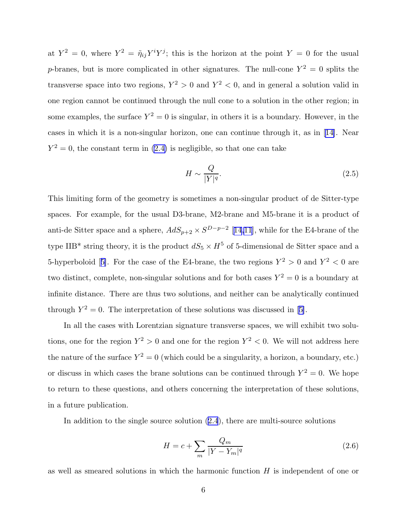at  $Y^2 = 0$ , where  $Y^2 = \tilde{\eta}_{ij} Y^i Y^j$ ; this is the horizon at the point  $Y = 0$  for the usual p-branes, but is more complicated in other signatures. The null-cone  $Y^2 = 0$  splits the transverse space into two regions,  $Y^2 > 0$  and  $Y^2 < 0$ , and in general a solution valid in one region cannot be continued through the null cone to a solution in the other region; in some examples, the surface  $Y^2 = 0$  is singular, in others it is a boundary. However, in the cases in which it is a non-singular horizon, one can continue through it, as in[[14\]](#page-34-0). Near  $Y^2 = 0$ , the constant term in [\(2.4\)](#page-5-0) is negligible, so that one can take

$$
H \sim \frac{Q}{|Y|^q}.\tag{2.5}
$$

This limiting form of the geometry is sometimes a non-singular product of de Sitter-type spaces. For example, for the usual D3-brane, M2-brane and M5-brane it is a product of anti-de Sitter space and a sphere,  $AdS_{p+2} \times S^{D-p-2}$  [[14,11](#page-34-0)], while for the E4-brane of the type IIB\* string theory, it is the product  $dS_5 \times H^5$  of 5-dimensional de Sitter space and a 5-hyperboloid[[5\]](#page-34-0). For the case of the E4-brane, the two regions  $Y^2 > 0$  and  $Y^2 < 0$  are two distinct, complete, non-singular solutions and for both cases  $Y^2 = 0$  is a boundary at infinite distance. There are thus two solutions, and neither can be analytically continued through $Y^2 = 0$ . The interpretation of these solutions was discussed in [[5\]](#page-34-0).

In all the cases with Lorentzian signature transverse spaces, we will exhibit two solutions, one for the region  $Y^2 > 0$  and one for the region  $Y^2 < 0$ . We will not address here the nature of the surface  $Y^2 = 0$  (which could be a singularity, a horizon, a boundary, etc.) or discuss in which cases the brane solutions can be continued through  $Y^2 = 0$ . We hope to return to these questions, and others concerning the interpretation of these solutions, in a future publication.

In addition to the single source solution [\(2.4](#page-5-0)), there are multi-source solutions

$$
H = c + \sum_{m} \frac{Q_m}{|Y - Y_m|^q} \tag{2.6}
$$

as well as smeared solutions in which the harmonic function  $H$  is independent of one or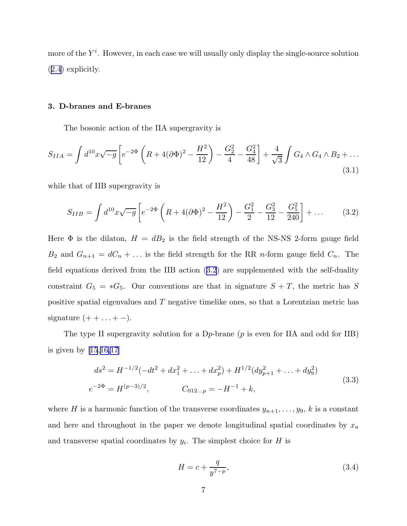<span id="page-7-0"></span>more of the  $Y^i$ . However, in each case we will usually only display the single-source solution ([2.4](#page-5-0)) explicitly.

# 3. D-branes and E-branes

The bosonic action of the IIA supergravity is

$$
S_{IIA} = \int d^{10}x \sqrt{-g} \left[ e^{-2\Phi} \left( R + 4(\partial \Phi)^2 - \frac{H^2}{12} \right) - \frac{G_2^2}{4} - \frac{G_4^2}{48} \right] + \frac{4}{\sqrt{3}} \int G_4 \wedge G_4 \wedge B_2 + \dots
$$
\n(3.1)

while that of IIB supergravity is

$$
S_{IIB} = \int d^{10}x \sqrt{-g} \left[ e^{-2\Phi} \left( R + 4(\partial \Phi)^2 - \frac{H^2}{12} \right) - \frac{G_1^2}{2} - \frac{G_3^2}{12} - \frac{G_5^2}{240} \right] + \dots \tag{3.2}
$$

Here  $\Phi$  is the dilaton,  $H = dB_2$  is the field strength of the NS-NS 2-form gauge field  $B_2$  and  $G_{n+1} = dC_n + \dots$  is the field strength for the RR *n*-form gauge field  $C_n$ . The field equations derived from the IIB action (3.2) are supplemented with the self-duality constraint  $G_5 = *G_5$ . Our conventions are that in signature  $S + T$ , the metric has S positive spatial eigenvalues and T negative timelike ones, so that a Lorentzian metric has signature  $(+ + \ldots + -).$ 

The type II supergravity solution for a D<sub>p</sub>-brane ( $p$  is even for IIA and odd for IIB) is given by [\[15](#page-34-0),[16,17\]](#page-34-0)

$$
ds^{2} = H^{-1/2}(-dt^{2} + dx_{1}^{2} + \dots + dx_{p}^{2}) + H^{1/2}(dy_{p+1}^{2} + \dots + dy_{9}^{2})
$$
  
\n
$$
e^{-2\Phi} = H^{(p-3)/2}, \qquad C_{012\ldots p} = -H^{-1} + k,
$$
\n(3.3)

where H is a harmonic function of the transverse coordinates  $y_{n+1}, \ldots, y_9$ , k is a constant and here and throughout in the paper we denote longitudinal spatial coordinates by  $x_a$ and transverse spatial coordinates by  $y_i$ . The simplest choice for H is

$$
H = c + \frac{q}{y^{7-p}},\tag{3.4}
$$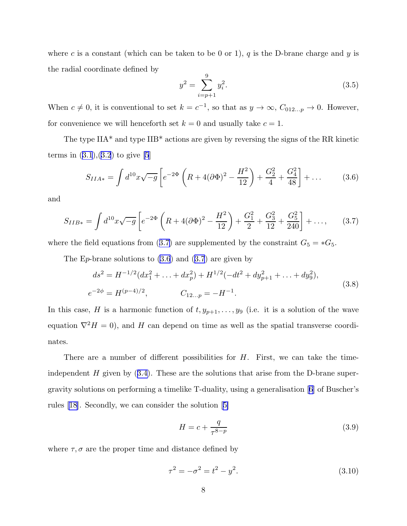<span id="page-8-0"></span>where c is a constant (which can be taken to be 0 or 1),  $q$  is the D-brane charge and  $y$  is the radial coordinate defined by

$$
y^2 = \sum_{i=p+1}^{9} y_i^2.
$$
 (3.5)

When  $c \neq 0$ , it is conventional to set  $k = c^{-1}$ , so that as  $y \to \infty$ ,  $C_{012...p} \to 0$ . However, for convenience we will henceforth set  $k = 0$  and usually take  $c = 1$ .

The type IIA\* and type IIB\* actions are given by reversing the signs of the RR kinetic termsin  $(3.1), (3.2)$  $(3.1), (3.2)$  $(3.1), (3.2)$  $(3.1), (3.2)$  $(3.1), (3.2)$  to give [\[5](#page-34-0)]

$$
S_{IIA*} = \int d^{10}x \sqrt{-g} \left[ e^{-2\Phi} \left( R + 4(\partial \Phi)^2 - \frac{H^2}{12} \right) + \frac{G_2^2}{4} + \frac{G_4^2}{48} \right] + \dots \tag{3.6}
$$

and

$$
S_{IIB*} = \int d^{10}x \sqrt{-g} \left[ e^{-2\Phi} \left( R + 4(\partial \Phi)^2 - \frac{H^2}{12} \right) + \frac{G_1^2}{2} + \frac{G_3^2}{12} + \frac{G_5^2}{240} \right] + \dots, \tag{3.7}
$$

where the field equations from (3.7) are supplemented by the constraint  $G_5 = *G_5$ .

The E<sub>p</sub>-brane solutions to  $(3.6)$  and  $(3.7)$  are given by

$$
ds^{2} = H^{-1/2}(dx_{1}^{2} + ... + dx_{p}^{2}) + H^{1/2}(-dt^{2} + dy_{p+1}^{2} + ... + dy_{9}^{2}),
$$
  
\n
$$
e^{-2\phi} = H^{(p-4)/2}, \qquad C_{12...p} = -H^{-1}.
$$
\n(3.8)

In this case, H is a harmonic function of  $t, y_{p+1}, \ldots, y_9$  (i.e. it is a solution of the wave equation  $\nabla^2 H = 0$ , and H can depend on time as well as the spatial transverse coordinates.

There are a number of different possibilities for  $H$ . First, we can take the time-independent $H$  given by  $(3.4)$  $(3.4)$ . These are the solutions that arise from the D-brane supergravity solutions on performing a timelike T-duality, using a generalisation[[6\]](#page-34-0) of Buscher's rules[[18](#page-34-0)]. Secondly, we can consider the solution[[5\]](#page-34-0)

$$
H = c + \frac{q}{\tau^{8-p}}\tag{3.9}
$$

where  $\tau, \sigma$  are the proper time and distance defined by

$$
\tau^2 = -\sigma^2 = t^2 - y^2. \tag{3.10}
$$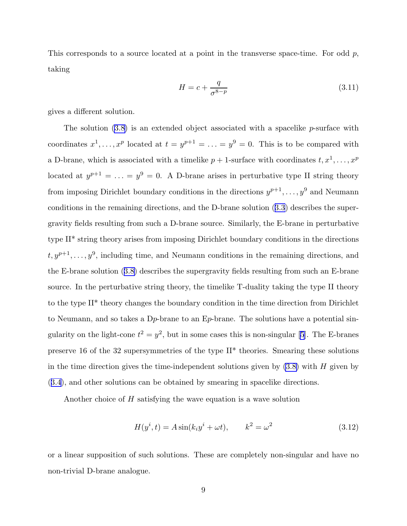This corresponds to a source located at a point in the transverse space-time. For odd  $p$ , taking

$$
H = c + \frac{q}{\sigma^{8-p}}\tag{3.11}
$$

gives a different solution.

The solution [\(3.8\)](#page-8-0) is an extended object associated with a spacelike p-surface with coordinates  $x^1, \ldots, x^p$  located at  $t = y^{p+1} = \ldots = y^9 = 0$ . This is to be compared with a D-brane, which is associated with a timelike  $p + 1$ -surface with coordinates  $t, x^1, \ldots, x^p$ located at  $y^{p+1} = \ldots = y^9 = 0$ . A D-brane arises in perturbative type II string theory from imposing Dirichlet boundary conditions in the directions  $y^{p+1}, \ldots, y^9$  and Neumann conditions in the remaining directions, and the D-brane solution([3.3](#page-7-0)) describes the supergravity fields resulting from such a D-brane source. Similarly, the E-brane in perturbative type II\* string theory arises from imposing Dirichlet boundary conditions in the directions  $t, y^{p+1}, \ldots, y^9$ , including time, and Neumann conditions in the remaining directions, and the E-brane solution([3.8\)](#page-8-0) describes the supergravity fields resulting from such an E-brane source. In the perturbative string theory, the timelike T-duality taking the type II theory to the type II\* theory changes the boundary condition in the time direction from Dirichlet to Neumann, and so takes a  $D_p$ -brane to an E<sub>p</sub>-brane. The solutions have a potential singularityon the light-cone  $t^2 = y^2$ , but in some cases this is non-singular [[5\]](#page-34-0). The E-branes preserve 16 of the 32 supersymmetries of the type II\* theories. Smearing these solutions in the time direction gives the time-independent solutions given by  $(3.8)$  with H given by ([3.4](#page-7-0)), and other solutions can be obtained by smearing in spacelike directions.

Another choice of H satisfying the wave equation is a wave solution

$$
H(y^i, t) = A \sin(k_i y^i + \omega t), \qquad k^2 = \omega^2 \tag{3.12}
$$

or a linear supposition of such solutions. These are completely non-singular and have no non-trivial D-brane analogue.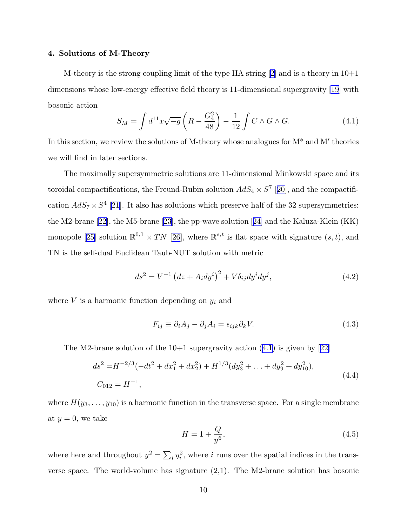# <span id="page-10-0"></span>4. Solutions of M-Theory

M-theoryis the strong coupling limit of the type IIA string  $[2]$  $[2]$  and is a theory in  $10+1$ dimensions whose low-energy effective field theory is 11-dimensional supergravity [\[19](#page-34-0)] with bosonic action

$$
S_M = \int d^{11}x \sqrt{-g} \left( R - \frac{G_4^2}{48} \right) - \frac{1}{12} \int C \wedge G \wedge G. \tag{4.1}
$$

In this section, we review the solutions of M-theory whose analogues for  $M^*$  and  $M'$  theories we will find in later sections.

The maximally supersymmetric solutions are 11-dimensional Minkowski space and its toroidal compactifications, the Freund-Rubin solution  $AdS_4 \times S^7$  [[20\]](#page-34-0), and the compactification  $AdS_7 \times S^4$  [[21\]](#page-34-0). It also has solutions which preserve half of the 32 supersymmetries: the M2-brane [\[22](#page-34-0)], the M5-brane [\[23](#page-34-0)], the pp-wave solution[[24\]](#page-34-0) and the Kaluza-Klein (KK) monopole[[25\]](#page-34-0) solution  $\mathbb{R}^{6,1} \times TN$  [\[26](#page-34-0)], where  $\mathbb{R}^{s,t}$  is flat space with signature  $(s,t)$ , and TN is the self-dual Euclidean Taub-NUT solution with metric

$$
ds^{2} = V^{-1} (dz + A_{i} dy^{i})^{2} + V \delta_{ij} dy^{i} dy^{j},
$$
\n(4.2)

where  $V$  is a harmonic function depending on  $y_i$  and

$$
F_{ij} \equiv \partial_i A_j - \partial_j A_i = \epsilon_{ijk} \partial_k V. \tag{4.3}
$$

TheM2-brane solution of the  $10+1$  supergravity action  $(4.1)$  is given by  $[22]$  $[22]$ 

$$
ds^{2} = H^{-2/3}(-dt^{2} + dx_{1}^{2} + dx_{2}^{2}) + H^{1/3}(dy_{3}^{2} + ... + dy_{9}^{2} + dy_{10}^{2}),
$$
  
\n
$$
C_{012} = H^{-1},
$$
\n(4.4)

where  $H(y_3, \ldots, y_{10})$  is a harmonic function in the transverse space. For a single membrane at  $y = 0$ , we take

$$
H = 1 + \frac{Q}{y^6},
$$
\n(4.5)

where here and throughout  $y^2 = \sum_i y_i^2$ , where i runs over the spatial indices in the transverse space. The world-volume has signature (2,1). The M2-brane solution has bosonic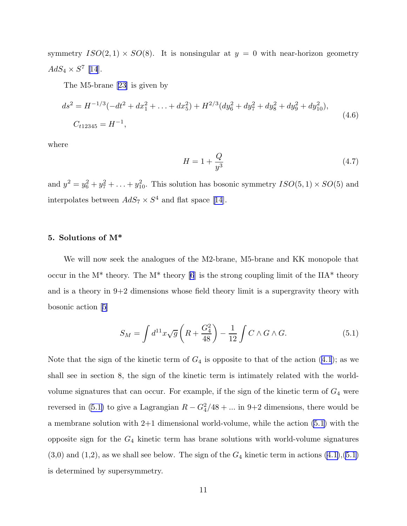symmetry  $ISO(2,1) \times SO(8)$ . It is nonsingular at  $y = 0$  with near-horizon geometry  $AdS_4 \times S^7$  [\[14](#page-34-0)].

The M5-brane[[23\]](#page-34-0) is given by

$$
ds^{2} = H^{-1/3}(-dt^{2} + dx_{1}^{2} + ... + dx_{5}^{2}) + H^{2/3}(dy_{6}^{2} + dy_{7}^{2} + dy_{8}^{2} + dy_{9}^{2} + dy_{10}^{2}),
$$
  
\n
$$
C_{t12345} = H^{-1},
$$
\n(4.6)

where

$$
H = 1 + \frac{Q}{y^3} \tag{4.7}
$$

and  $y^2 = y_6^2 + y_7^2 + \ldots + y_{10}^2$ . This solution has bosonic symmetry  $ISO(5, 1) \times SO(5)$  and interpolatesbetween  $AdS_7 \times S^4$  and flat space [[14](#page-34-0)].

# 5. Solutions of M\*

We will now seek the analogues of the M2-brane, M5-brane and KK monopole that occur in the  $M^*$  theory. The  $M^*$  theory [\[6](#page-34-0)] is the strong coupling limit of the IIA\* theory and is a theory in  $9+2$  dimensions whose field theory limit is a supergravity theory with bosonic action [\[5](#page-34-0)]

$$
S_M = \int d^{11}x \sqrt{g} \left( R + \frac{G_4^2}{48} \right) - \frac{1}{12} \int C \wedge G \wedge G. \tag{5.1}
$$

Note that the sign of the kinetic term of  $G_4$  is opposite to that of the action [\(4.1](#page-10-0)); as we shall see in section 8, the sign of the kinetic term is intimately related with the worldvolume signatures that can occur. For example, if the sign of the kinetic term of  $G_4$  were reversed in (5.1) to give a Lagrangian  $R - G_4^2/48 + \dots$  in 9+2 dimensions, there would be a membrane solution with 2+1 dimensional world-volume, while the action (5.1) with the opposite sign for the  $G_4$  kinetic term has brane solutions with world-volume signatures  $(3,0)$  and  $(1,2)$ , as we shall see below. The sign of the  $G_4$  kinetic term in actions  $(4.1),(5.1)$ is determined by supersymmetry.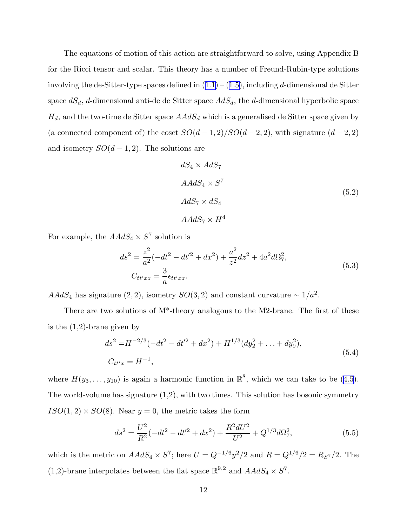The equations of motion of this action are straightforward to solve, using Appendix B for the Ricci tensor and scalar. This theory has a number of Freund-Rubin-type solutions involvingthe de-Sitter-type spaces defined in  $(1.1) - (1.5)$  $(1.1) - (1.5)$  $(1.1) - (1.5)$  $(1.1) - (1.5)$  $(1.1) - (1.5)$ , including d-dimensional de Sitter space  $dS_d$ , d-dimensional anti-de de Sitter space  $AdS_d$ , the d-dimensional hyperbolic space  $H_d$ , and the two-time de Sitter space  $AAdS_d$  which is a generalised de Sitter space given by (a connected component of) the coset  $SO(d-1, 2)/SO(d-2, 2)$ , with signature  $(d-2, 2)$ and isometry  $SO(d-1,2)$ . The solutions are

$$
dS_4 \times AdS_7
$$
  
 
$$
AdS_4 \times S^7
$$
  
 
$$
AdS_7 \times dS_4
$$
  
 
$$
AdS_7 \times H^4
$$
 (5.2)

For example, the  $AAdS_4 \times S^7$  solution is

$$
ds^{2} = \frac{z^{2}}{a^{2}}(-dt^{2} - dt'^{2} + dx^{2}) + \frac{a^{2}}{z^{2}}dz^{2} + 4a^{2}d\Omega_{7}^{2},
$$
  
\n
$$
C_{tt'xz} = \frac{3}{a}\epsilon_{tt'xz}.
$$
\n(5.3)

 $AAdS_4$  has signature  $(2, 2)$ , isometry  $SO(3, 2)$  and constant curvature  $\sim 1/a^2$ .

There are two solutions of M\*-theory analogous to the M2-brane. The first of these is the  $(1,2)$ -brane given by

$$
ds^{2} = H^{-2/3}(-dt^{2} - dt'^{2} + dx^{2}) + H^{1/3}(dy_{2}^{2} + ... + dy_{9}^{2}),
$$
  
\n
$$
C_{tt'x} = H^{-1},
$$
\n(5.4)

where $H(y_3, \ldots, y_{10})$  is again a harmonic function in  $\mathbb{R}^8$ , which we can take to be ([4.5](#page-10-0)). The world-volume has signature  $(1,2)$ , with two times. This solution has bosonic symmetry  $ISO(1, 2) \times SO(8)$ . Near  $y = 0$ , the metric takes the form

$$
ds^{2} = \frac{U^{2}}{R^{2}}(-dt^{2} - dt'^{2} + dx^{2}) + \frac{R^{2}dU^{2}}{U^{2}} + Q^{1/3}d\Omega_{7}^{2},
$$
\n(5.5)

which is the metric on  $AAdS_4 \times S^7$ ; here  $U = Q^{-1/6}y^2/2$  and  $R = Q^{1/6}/2 = R_{S^7}/2$ . The (1,2)-brane interpolates between the flat space  $\mathbb{R}^{9,2}$  and  $AAdS_4 \times S^7$ .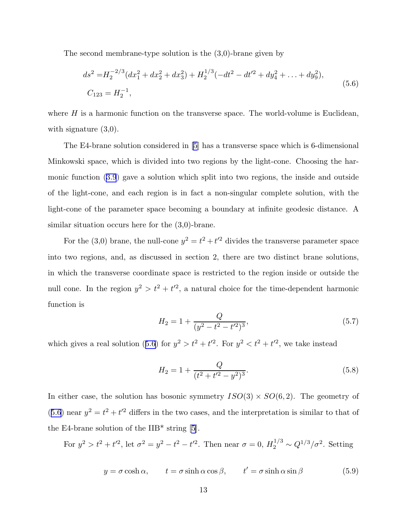<span id="page-13-0"></span>The second membrane-type solution is the (3,0)-brane given by

$$
ds^{2} = H_{2}^{-2/3} (dx_{1}^{2} + dx_{2}^{2} + dx_{3}^{2}) + H_{2}^{1/3} (-dt^{2} - dt'^{2} + dy_{4}^{2} + ... + dy_{9}^{2}),
$$
  
\n
$$
C_{123} = H_{2}^{-1},
$$
\n(5.6)

where  $H$  is a harmonic function on the transverse space. The world-volume is Euclidean, with signature  $(3,0)$ .

The E4-brane solution considered in [\[5](#page-34-0)] has a transverse space which is 6-dimensional Minkowski space, which is divided into two regions by the light-cone. Choosing the harmonic function([3.9](#page-8-0)) gave a solution which split into two regions, the inside and outside of the light-cone, and each region is in fact a non-singular complete solution, with the light-cone of the parameter space becoming a boundary at infinite geodesic distance. A similar situation occurs here for the (3,0)-brane.

For the (3,0) brane, the null-cone  $y^2 = t^2 + t'^2$  divides the transverse parameter space into two regions, and, as discussed in section 2, there are two distinct brane solutions, in which the transverse coordinate space is restricted to the region inside or outside the null cone. In the region  $y^2 > t^2 + t'^2$ , a natural choice for the time-dependent harmonic function is

$$
H_2 = 1 + \frac{Q}{(y^2 - t^2 - t^2)^3},\tag{5.7}
$$

which gives a real solution (5.6) for  $y^2 > t^2 + t'^2$ . For  $y^2 < t^2 + t'^2$ , we take instead

$$
H_2 = 1 + \frac{Q}{(t^2 + t'^2 - y^2)^3}.
$$
\n(5.8)

In either case, the solution has bosonic symmetry  $ISO(3) \times SO(6, 2)$ . The geometry of (5.6) near  $y^2 = t^2 + t'^2$  differs in the two cases, and the interpretation is similar to that of the E4-brane solution of the  $IIB^*$  string [\[5](#page-34-0)].

For  $y^2 > t^2 + t'^2$ , let  $\sigma^2 = y^2 - t^2 - t'^2$ . Then near  $\sigma = 0$ ,  $H_2^{1/3} \sim Q^{1/3}/\sigma^2$ . Setting

$$
y = \sigma \cosh \alpha, \qquad t = \sigma \sinh \alpha \cos \beta, \qquad t' = \sigma \sinh \alpha \sin \beta \tag{5.9}
$$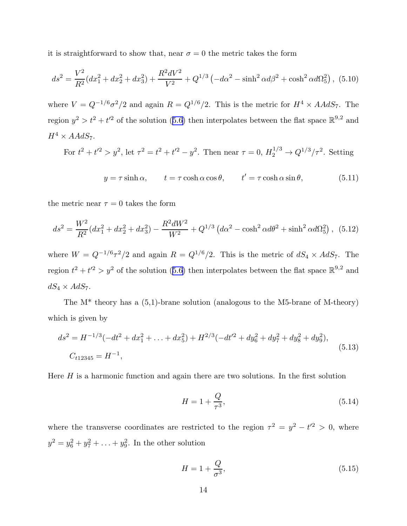it is straightforward to show that, near  $\sigma = 0$  the metric takes the form

$$
ds^{2} = \frac{V^{2}}{R^{2}}(dx_{1}^{2} + dx_{2}^{2} + dx_{3}^{2}) + \frac{R^{2}dV^{2}}{V^{2}} + Q^{1/3}(-d\alpha^{2} - \sinh^{2}\alpha d\beta^{2} + \cosh^{2}\alpha d\Omega_{5}^{2}), (5.10)
$$

where  $V = Q^{-1/6} \sigma^2/2$  and again  $R = Q^{1/6}/2$ . This is the metric for  $H^4 \times AA dS_7$ . The region $y^2 > t^2 + t'^2$  of the solution ([5.6\)](#page-13-0) then interpolates between the flat space  $\mathbb{R}^{9,2}$  and  $H^4 \times AAdS_7.$ 

For 
$$
t^2 + t'^2 > y^2
$$
, let  $\tau^2 = t^2 + t'^2 - y^2$ . Then near  $\tau = 0$ ,  $H_2^{1/3} \to Q^{1/3}/\tau^2$ . Setting

$$
y = \tau \sinh \alpha, \qquad t = \tau \cosh \alpha \cos \theta, \qquad t' = \tau \cosh \alpha \sin \theta, \tag{5.11}
$$

the metric near  $\tau = 0$  takes the form

$$
ds^{2} = \frac{W^{2}}{R^{2}}(dx_{1}^{2} + dx_{2}^{2} + dx_{3}^{2}) - \frac{R^{2}dW^{2}}{W^{2}} + Q^{1/3} (d\alpha^{2} - \cosh^{2}\alpha d\theta^{2} + \sinh^{2}\alpha d\Omega_{5}^{2}), (5.12)
$$

where  $W = Q^{-1/6} \tau^2/2$  and again  $R = Q^{1/6}/2$ . This is the metric of  $dS_4 \times AdS_7$ . The region $t^2 + t'^2 > y^2$  of the solution ([5.6\)](#page-13-0) then interpolates between the flat space  $\mathbb{R}^{9,2}$  and  $dS_4 \times AdS_7$ .

The  $M^*$  theory has a  $(5,1)$ -brane solution (analogous to the M5-brane of M-theory) which is given by

$$
ds^{2} = H^{-1/3}(-dt^{2} + dx_{1}^{2} + ... + dx_{5}^{2}) + H^{2/3}(-dt'^{2} + dy_{6}^{2} + dy_{7}^{2} + dy_{8}^{2} + dy_{9}^{2}),
$$
  
\n
$$
C_{t12345} = H^{-1},
$$
\n(5.13)

Here  $H$  is a harmonic function and again there are two solutions. In the first solution

$$
H = 1 + \frac{Q}{\tau^3},\tag{5.14}
$$

where the transverse coordinates are restricted to the region  $\tau^2 = y^2 - t'^2 > 0$ , where  $y^2 = y_6^2 + y_7^2 + ... + y_9^2$ . In the other solution

$$
H = 1 + \frac{Q}{\sigma^3},\tag{5.15}
$$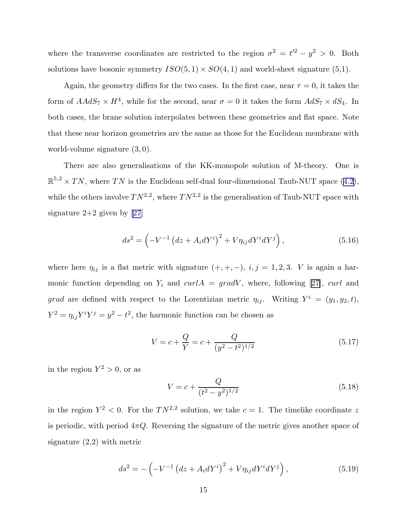where the transverse coordinates are restricted to the region  $\sigma^2 = t'^2 - y^2 > 0$ . Both solutions have bosonic symmetry  $ISO(5,1) \times SO(4,1)$  and world-sheet signature (5,1).

Again, the geometry differs for the two cases. In the first case, near  $\tau = 0$ , it takes the form of  $AAdS_7 \times H^4$ , while for the second, near  $\sigma = 0$  it takes the form  $AdS_7 \times dS_4$ . In both cases, the brane solution interpolates between these geometries and flat space. Note that these near horizon geometries are the same as those for the Euclidean membrane with world-volume signature (3, 0).

There are also generalisations of the KK-monopole solution of M-theory. One is  $\mathbb{R}^{5,2} \times TN$  $\mathbb{R}^{5,2} \times TN$  $\mathbb{R}^{5,2} \times TN$ , where TN is the Euclidean self-dual four-dimensional Taub-NUT space ([4.2](#page-10-0)), while the others involve  $TN^{2,2}$ , where  $TN^{2,2}$  is the generalisation of Taub-NUT space with signature  $2+2$  given by [\[27](#page-35-0)]

$$
ds^{2} = \left(-V^{-1} (dz + A_{i}dY^{i})^{2} + V\eta_{ij}dY^{i}dY^{j}\right),
$$
\n(5.16)

where here  $\eta_{ij}$  is a flat metric with signature  $(+, +, -)$ ,  $i, j = 1, 2, 3$ . V is again a harmonicfunction depending on  $Y_i$  and  $curl A = grad V$ , where, following [[27\]](#page-35-0), curl and grad are defined with respect to the Lorentizian metric  $\eta_{ij}$ . Writing  $Y^i = (y_1, y_2, t)$ ,  $Y^2 = \eta_{ij} Y^i Y^j = y^2 - t^2$ , the harmonic function can be chosen as

$$
V = c + \frac{Q}{Y} = c + \frac{Q}{(y^2 - t^2)^{1/2}}
$$
\n(5.17)

in the region  $Y^2 > 0$ , or as

$$
V = c + \frac{Q}{(t^2 - y^2)^{1/2}}
$$
\n(5.18)

in the region  $Y^2 < 0$ . For the  $TN^{2,2}$  solution, we take  $c = 1$ . The timelike coordinate z is periodic, with period  $4\pi Q$ . Reversing the signature of the metric gives another space of signature (2,2) with metric

$$
ds^{2} = -\left(-V^{-1}\left(dz + A_{i}dY^{i}\right)^{2} + V\eta_{ij}dY^{i}dY^{j}\right),
$$
\n(5.19)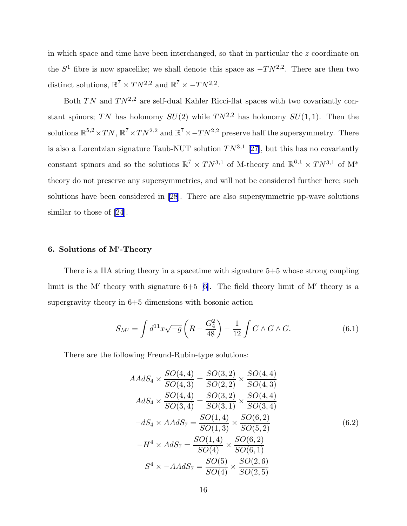<span id="page-16-0"></span>in which space and time have been interchanged, so that in particular the z coordinate on the  $S<sup>1</sup>$  fibre is now spacelike; we shall denote this space as  $-TN<sup>2,2</sup>$ . There are then two distinct solutions,  $\mathbb{R}^7 \times TN^{2,2}$  and  $\mathbb{R}^7 \times -TN^{2,2}$ .

Both  $TN$  and  $TN^{2,2}$  are self-dual Kahler Ricci-flat spaces with two covariantly constant spinors; TN has holonomy  $SU(2)$  while  $TN^{2,2}$  has holonomy  $SU(1,1)$ . Then the solutions  $\mathbb{R}^{5,2} \times TN$ ,  $\mathbb{R}^7 \times TN^{2,2}$  and  $\mathbb{R}^7 \times TN^{2,2}$  preserve half the supersymmetry. There is also a Lorentzian signature Taub-NUT solution  $TN^{3,1}$  [[27\]](#page-35-0), but this has no covariantly constant spinors and so the solutions  $\mathbb{R}^7 \times TN^{3,1}$  of M-theory and  $\mathbb{R}^{6,1} \times TN^{3,1}$  of  $M^*$ theory do not preserve any supersymmetries, and will not be considered further here; such solutions have been considered in [\[28](#page-35-0)]. There are also supersymmetric pp-wave solutions similar to those of [\[24](#page-34-0)].

# 6. Solutions of M′ -Theory

There is a IIA string theory in a spacetime with signature 5+5 whose strong coupling limitis the M' theory with signature  $6+5$  [[6\]](#page-34-0). The field theory limit of M' theory is a supergravity theory in 6+5 dimensions with bosonic action

$$
S_{M'} = \int d^{11}x \sqrt{-g} \left( R - \frac{G_4^2}{48} \right) - \frac{1}{12} \int C \wedge G \wedge G. \tag{6.1}
$$

There are the following Freund-Rubin-type solutions:

$$
AAdS_4 \times \frac{SO(4,4)}{SO(4,3)} = \frac{SO(3,2)}{SO(2,2)} \times \frac{SO(4,4)}{SO(4,3)}
$$
  
\n
$$
AdS_4 \times \frac{SO(4,4)}{SO(3,4)} = \frac{SO(3,2)}{SO(3,1)} \times \frac{SO(4,4)}{SO(3,4)}
$$
  
\n
$$
-dS_4 \times AAdS_7 = \frac{SO(1,4)}{SO(1,3)} \times \frac{SO(6,2)}{SO(5,2)}
$$
  
\n
$$
-H^4 \times AdS_7 = \frac{SO(1,4)}{SO(4)} \times \frac{SO(6,2)}{SO(6,1)}
$$
  
\n
$$
S^4 \times -AAdS_7 = \frac{SO(5)}{SO(4)} \times \frac{SO(2,6)}{SO(2,5)}
$$
 (6.2)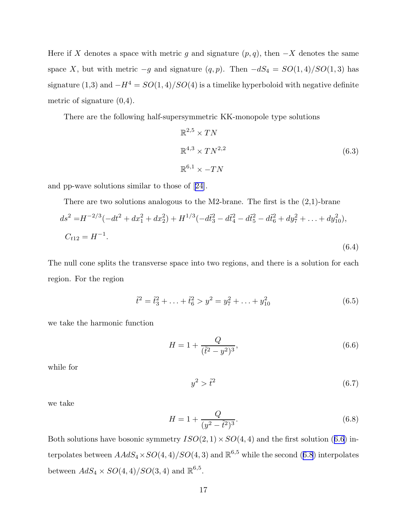Here if X denotes a space with metric g and signature  $(p, q)$ , then  $-X$  denotes the same space X, but with metric  $-g$  and signature  $(q, p)$ . Then  $-dS_4 = SO(1, 4)/SO(1, 3)$  has signature (1,3) and  $-H^4 = SO(1,4)/SO(4)$  is a timelike hyperboloid with negative definite metric of signature (0,4).

There are the following half-supersymmetric KK-monopole type solutions

$$
\mathbb{R}^{2,5} \times TN
$$
  

$$
\mathbb{R}^{4,3} \times TN^{2,2}
$$
  

$$
\mathbb{R}^{6,1} \times -TN
$$
  
(6.3)

and pp-wave solutions similar to those of[[24\]](#page-34-0).

There are two solutions analogous to the M2-brane. The first is the  $(2,1)$ -brane

$$
ds^{2} = H^{-2/3}(-dt^{2} + dx_{1}^{2} + dx_{2}^{2}) + H^{1/3}(-d\tilde{t}_{3}^{2} - d\tilde{t}_{4}^{2} - d\tilde{t}_{5}^{2} - d\tilde{t}_{6}^{2} + dy_{7}^{2} + ... + dy_{10}^{2}),
$$
  
\n
$$
C_{t12} = H^{-1}.
$$
\n(6.4)

The null cone splits the transverse space into two regions, and there is a solution for each region. For the region

$$
\tilde{t}^2 = \tilde{t}_3^2 + \ldots + \tilde{t}_6^2 > y^2 = y_7^2 + \ldots + y_{10}^2
$$
\n(6.5)

we take the harmonic function

$$
H = 1 + \frac{Q}{(\tilde{t}^2 - y^2)^3},\tag{6.6}
$$

while for

 $y^2 > \tilde{t}^2$ (6.7)

we take

$$
H = 1 + \frac{Q}{(y^2 - \tilde{t}^2)^3}.
$$
\n(6.8)

Both solutions have bosonic symmetry  $ISO(2,1) \times SO(4,4)$  and the first solution (6.6) interpolates between  $AAdS_4 \times SO(4,4)/SO(4,3)$  and  $\mathbb{R}^{6,5}$  while the second (6.8) interpolates between  $AdS_4 \times SO(4,4)/SO(3,4)$  and  $\mathbb{R}^{6,5}$ .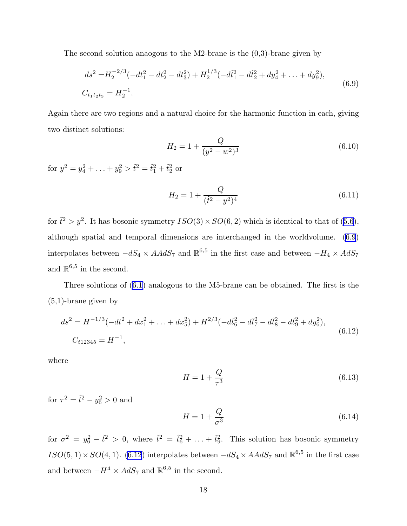The second solution anaogous to the M2-brane is the  $(0,3)$ -brane given by

$$
ds^{2} = H_{2}^{-2/3}(-dt_{1}^{2} - dt_{2}^{2} - dt_{3}^{2}) + H_{2}^{1/3}(-d\tilde{t}_{1}^{2} - d\tilde{t}_{2}^{2} + dy_{4}^{2} + \dots + dy_{9}^{2}),
$$
  
\n
$$
C_{t_{1}t_{2}t_{3}} = H_{2}^{-1}.
$$
\n(6.9)

Again there are two regions and a natural choice for the harmonic function in each, giving two distinct solutions:

$$
H_2 = 1 + \frac{Q}{(y^2 - w^2)^3}
$$
 (6.10)

for  $y^2 = y_4^2 + \ldots + y_9^2 > \tilde{t}^2 = \tilde{t}_1^2 + \tilde{t}_2^2$  or

$$
H_2 = 1 + \frac{Q}{(\tilde{t}^2 - y^2)^4}
$$
 (6.11)

for $\tilde{t}^2 > y^2$ . It has bosonic symmetry  $ISO(3) \times SO(6, 2)$  which is identical to that of ([5.6](#page-13-0)), although spatial and temporal dimensions are interchanged in the worldvolume. (6.9) interpolates between  $-dS_4 \times AA dS_7$  and  $\mathbb{R}^{6,5}$  in the first case and between  $-H_4 \times AdS_7$ and  $\mathbb{R}^{6,5}$  in the second.

Three solutions of [\(6.1\)](#page-16-0) analogous to the M5-brane can be obtained. The first is the (5,1)-brane given by

$$
ds^{2} = H^{-1/3}(-dt^{2} + dx_{1}^{2} + \dots + dx_{5}^{2}) + H^{2/3}(-d\tilde{t}_{6}^{2} - d\tilde{t}_{7}^{2} - d\tilde{t}_{8}^{2} - d\tilde{t}_{9}^{2} + dy_{6}^{2}),
$$
  
\n
$$
C_{t12345} = H^{-1},
$$
\n(6.12)

where

$$
H = 1 + \frac{Q}{\tau^3} \tag{6.13}
$$

for  $\tau^2 = \tilde{t}^2 - y_6^2 > 0$  and

$$
H = 1 + \frac{Q}{\sigma^3} \tag{6.14}
$$

for  $\sigma^2 = y_6^2 - \tilde{t}^2 > 0$ , where  $\tilde{t}^2 = \tilde{t}_6^2 + \ldots + \tilde{t}_9^2$ . This solution has bosonic symmetry  $ISO(5,1)\times SO(4,1)$ . (6.12) interpolates between  $-dS_4\times AAdS_7$  and  $\mathbb{R}^{6,5}$  in the first case and between  $-H^4 \times AdS_7$  and  $\mathbb{R}^{6,5}$  in the second.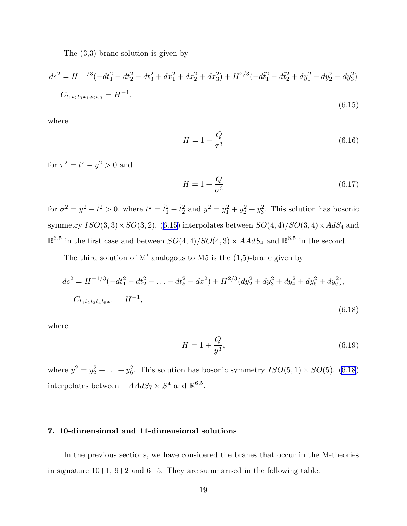The (3,3)-brane solution is given by

$$
ds^{2} = H^{-1/3}(-dt_{1}^{2} - dt_{2}^{2} - dt_{3}^{2} + dx_{1}^{2} + dx_{2}^{2} + dx_{3}^{2}) + H^{2/3}(-d\tilde{t}_{1}^{2} - d\tilde{t}_{2}^{2} + dy_{1}^{2} + dy_{2}^{2} + dy_{3}^{2})
$$
  
\n
$$
C_{t_{1}t_{2}t_{3}x_{1}x_{2}x_{3}} = H^{-1},
$$
\n(6.15)

where

$$
H = 1 + \frac{Q}{\tau^3} \tag{6.16}
$$

for  $\tau^2 = \tilde{t}^2 - y^2 > 0$  and

$$
H = 1 + \frac{Q}{\sigma^3} \tag{6.17}
$$

for  $\sigma^2 = y^2 - \tilde{t}^2 > 0$ , where  $\tilde{t}^2 = \tilde{t}_1^2 + \tilde{t}_2^2$  and  $y^2 = y_1^2 + y_2^2 + y_3^2$ . This solution has bosonic symmetry  $ISO(3,3)\times SO(3,2)$ . (6.15) interpolates between  $SO(4,4)/SO(3,4)\times AdS_4$  and  $\mathbb{R}^{6,5}$  in the first case and between  $SO(4, 4)/SO(4, 3) \times AAdS_4$  and  $\mathbb{R}^{6,5}$  in the second.

The third solution of M' analogous to M5 is the  $(1,5)$ -brane given by

$$
ds^{2} = H^{-1/3}(-dt_{1}^{2} - dt_{2}^{2} - \dots - dt_{5}^{2} + dx_{1}^{2}) + H^{2/3}(dy_{2}^{2} + dy_{3}^{2} + dy_{4}^{2} + dy_{5}^{2} + dy_{6}^{2}),
$$
  
\n
$$
C_{t_{1}t_{2}t_{3}t_{4}t_{5}x_{1}} = H^{-1},
$$
\n(6.18)

where

$$
H = 1 + \frac{Q}{y^3},\tag{6.19}
$$

where  $y^2 = y_2^2 + \ldots + y_6^2$ . This solution has bosonic symmetry  $ISO(5, 1) \times SO(5)$ . (6.18) interpolates between  $-AAdS_7 \times S^4$  and  $\mathbb{R}^{6,5}$ .

# 7. 10-dimensional and 11-dimensional solutions

In the previous sections, we have considered the branes that occur in the M-theories in signature  $10+1$ ,  $9+2$  and  $6+5$ . They are summarised in the following table: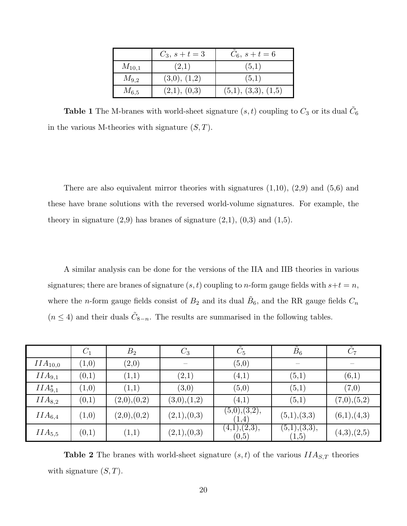|            | $C_3, s+t=3$ | $C_6, s+t=6$        |
|------------|--------------|---------------------|
| $M_{10,1}$ | (2,1)        | (5,1)               |
| $M_{9,2}$  | (3,0), (1,2) | (5,1)               |
| $M_{6,5}$  | (2,1), (0,3) | (5,1), (3,3), (1,5) |

**Table 1** The M-branes with world-sheet signature  $(s, t)$  coupling to  $C_3$  or its dual  $\tilde{C}_6$ in the various M-theories with signature  $(S, T)$ .

There are also equivalent mirror theories with signatures  $(1,10)$ ,  $(2,9)$  and  $(5,6)$  and these have brane solutions with the reversed world-volume signatures. For example, the theory in signature  $(2,9)$  has branes of signature  $(2,1)$ ,  $(0,3)$  and  $(1,5)$ .

A similar analysis can be done for the versions of the IIA and IIB theories in various signatures; there are branes of signature  $(s, t)$  coupling to *n*-form gauge fields with  $s+t = n$ , where the *n*-form gauge fields consist of  $B_2$  and its dual  $\tilde{B}_6$ , and the RR gauge fields  $C_n$  $(n \leq 4)$  and their duals  $\tilde{C}_{8-n}$ . The results are summarised in the following tables.

|               | $C_1$                 | $B_{2}$     | $C_3$                 | $C_5$                              | $B_6$                   |             |
|---------------|-----------------------|-------------|-----------------------|------------------------------------|-------------------------|-------------|
| $IIA_{10,0}$  | (1,0)                 | (2,0)       |                       | $\left( 5,0\right)$                |                         |             |
| $IIA_{9,1}$   | (0,1)                 | (1,1)       | $\left( 2,\!1\right)$ | (4,1)                              | (5,1)                   | (6,1)       |
| $IIA_{9,1}^*$ | $\scriptstyle{(1,0)}$ | (1,1)       | (3,0)                 | $\left( 5,0\right)$                | (5,1)                   | (7,0)       |
| $IIA_{8,2}$   | (0,1)                 | (2,0),(0,2) | (3,0),(1,2)           | (4,1)                              | (5,1)                   | (7,0),(5,2) |
| $IIA_{6,4}$   | $\left( 1,0\right)$   | (2,0),(0,2) | (2,1),(0,3)           | (5,0), (3,2),<br>(1,4)             | (5,1),(3,3)             | (6,1),(4,3) |
| $IIA_{5,5}$   | (0,1)                 | (1,1)       | (2,1),(0,3)           | $\overline{(4,1),(2,3)},$<br>(0,5) | (5,1), (3,3),<br>(1, 5) | (4,3),(2,5) |

**Table 2** The branes with world-sheet signature  $(s, t)$  of the various  $IIA_{S,T}$  theories with signature  $(S, T)$ .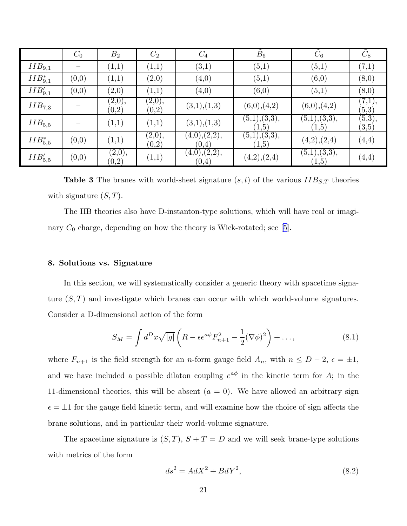|               | $C_0$ | B <sub>2</sub>                | $C_2$            | $C_4$                                              | $\tilde{B}_6$                                      | $\tilde{C}_6$          | $\tilde{C}_8$                 |
|---------------|-------|-------------------------------|------------------|----------------------------------------------------|----------------------------------------------------|------------------------|-------------------------------|
| $IIB_{9,1}$   |       | (1,1)                         | (1,1)            | (3,1)                                              | (5,1)                                              | (5,1)                  | $\left( 7,1\right)$           |
| $IIB_{9,1}^*$ | (0,0) | (1,1)                         | (2,0)            | (4,0)                                              | (5,1)                                              | (6,0)                  | (8,0)                         |
| $IIB_{9,1}'$  | (0,0) | (2,0)                         | (1,1)            | (4,0)                                              | (6,0)                                              | (5,1)                  | (8,0)                         |
| $IIB_{7,3}$   |       | (2,0),<br>(0, 2)              | (2,0),<br>(0, 2) | (3,1),(1,3)                                        | (6,0),(4,2)                                        | (6,0),(4,2)            | (7,1),<br>$\left( 5,3\right)$ |
| $IIB_{5,5}$   |       | (1,1)                         | (1,1)            | (3,1),(1,3)                                        | $(\overline{5,1})$ , $(\overline{3,3})$ ,<br>(1,5) | (5,1),(3,3),<br>(1, 5) | (5,3),<br>$\left( 3,5\right)$ |
| $IIB_{5.5}^*$ | (0,0) | (1,1)                         | (2,0),<br>(0, 2) | (4,0),(2,2),<br>(0,4)                              | $(\overline{5,1})$ , $(\overline{3,3})$ ,<br>(1,5) | (4,2),(2,4)            | (4,4)                         |
| $IIB'_{5,5}$  | (0,0) | (2,0),<br>$\left( 0,2\right)$ | (1,1)            | $(\overline{4,0})$ , $(\overline{2,2})$ ,<br>(0,4) | (4,2),(2,4)                                        | (5,1),(3,3),<br>(1, 5) | (4,4)                         |

**Table 3** The branes with world-sheet signature  $(s, t)$  of the various  $IIB_{S,T}$  theories with signature  $(S, T)$ .

The IIB theories also have D-instanton-type solutions, which will have real or imaginary  $C_0$  charge, depending on how the theory is Wick-rotated; see [\[5](#page-34-0)].

# 8. Solutions vs. Signature

In this section, we will systematically consider a generic theory with spacetime signature  $(S, T)$  and investigate which branes can occur with which world-volume signatures. Consider a D-dimensional action of the form

$$
S_M = \int d^D x \sqrt{|g|} \left( R - \epsilon e^{a\phi} F_{n+1}^2 - \frac{1}{2} (\nabla \phi)^2 \right) + \dots,\tag{8.1}
$$

where  $F_{n+1}$  is the field strength for an n-form gauge field  $A_n$ , with  $n \le D-2$ ,  $\epsilon = \pm 1$ , and we have included a possible dilaton coupling  $e^{a\phi}$  in the kinetic term for A; in the 11-dimensional theories, this will be absent  $(a = 0)$ . We have allowed an arbitrary sign  $\epsilon = \pm 1$  for the gauge field kinetic term, and will examine how the choice of sign affects the brane solutions, and in particular their world-volume signature.

The spacetime signature is  $(S, T), S + T = D$  and we will seek brane-type solutions with metrics of the form

$$
ds^2 = AdX^2 + BdY^2,\tag{8.2}
$$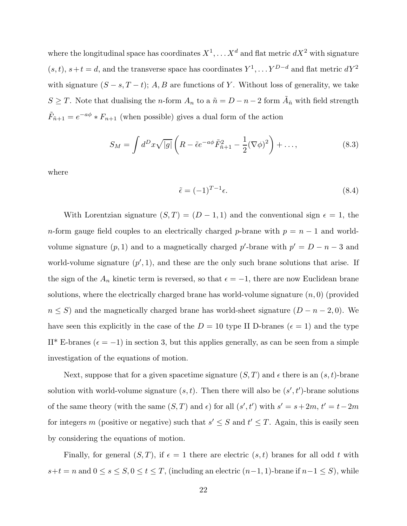<span id="page-22-0"></span>where the longitudinal space has coordinates  $X^1, \ldots X^d$  and flat metric  $dX^2$  with signature  $(s, t)$ ,  $s + t = d$ , and the transverse space has coordinates  $Y^1, \ldots Y^{D-d}$  and flat metric  $dY^2$ with signature  $(S - s, T - t)$ ; A, B are functions of Y. Without loss of generality, we take  $S \geq T$ . Note that dualising the *n*-form  $A_n$  to a  $\tilde{n} = D - n - 2$  form  $\tilde{A}_{\tilde{n}}$  with field strength  $\tilde{F}_{n+1} = e^{-a\phi} * F_{n+1}$  (when possible) gives a dual form of the action

$$
S_M = \int d^D x \sqrt{|g|} \left( R - \tilde{\epsilon} e^{-a\phi} \tilde{F}_{\tilde{n}+1}^2 - \frac{1}{2} (\nabla \phi)^2 \right) + \dots,
$$
 (8.3)

where

$$
\tilde{\epsilon} = (-1)^{T-1} \epsilon. \tag{8.4}
$$

With Lorentzian signature  $(S, T) = (D - 1, 1)$  and the conventional sign  $\epsilon = 1$ , the n-form gauge field couples to an electrically charged p-brane with  $p = n - 1$  and worldvolume signature  $(p, 1)$  and to a magnetically charged p'-brane with  $p' = D - n - 3$  and world-volume signature  $(p', 1)$ , and these are the only such brane solutions that arise. If the sign of the  $A_n$  kinetic term is reversed, so that  $\epsilon = -1$ , there are now Euclidean brane solutions, where the electrically charged brane has world-volume signature  $(n, 0)$  (provided  $n \leq S$ ) and the magnetically charged brane has world-sheet signature  $(D - n - 2, 0)$ . We have seen this explicitly in the case of the  $D = 10$  type II D-branes ( $\epsilon = 1$ ) and the type II\* E-branes ( $\epsilon = -1$ ) in section 3, but this applies generally, as can be seen from a simple investigation of the equations of motion.

Next, suppose that for a given spacetime signature  $(S, T)$  and  $\epsilon$  there is an  $(s, t)$ -brane solution with world-volume signature  $(s, t)$ . Then there will also be  $(s', t')$ -brane solutions of the same theory (with the same  $(S, T)$  and  $\epsilon$ ) for all  $(s', t')$  with  $s' = s + 2m$ ,  $t' = t - 2m$ for integers m (positive or negative) such that  $s' \leq S$  and  $t' \leq T$ . Again, this is easily seen by considering the equations of motion.

Finally, for general  $(S, T)$ , if  $\epsilon = 1$  there are electric  $(s, t)$  branes for all odd t with  $s+t=n$  and  $0 \le s \le S, 0 \le t \le T$ , (including an electric  $(n-1, 1)$ -brane if  $n-1 \le S$ ), while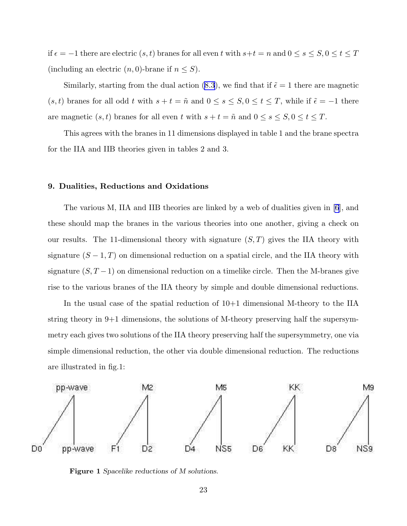if  $\epsilon = -1$  there are electric  $(s, t)$  branes for all even t with  $s+t = n$  and  $0 \le s \le S, 0 \le t \le T$ (including an electric  $(n, 0)$ -brane if  $n \leq S$ ).

Similarly,starting from the dual action ([8.3](#page-22-0)), we find that if  $\tilde{\epsilon} = 1$  there are magnetic  $(s, t)$  branes for all odd t with  $s + t = \tilde{n}$  and  $0 \le s \le S, 0 \le t \le T$ , while if  $\tilde{\epsilon} = -1$  there are magnetic  $(s, t)$  branes for all even t with  $s + t = \tilde{n}$  and  $0 \le s \le S, 0 \le t \le T$ .

This agrees with the branes in 11 dimensions displayed in table 1 and the brane spectra for the IIA and IIB theories given in tables 2 and 3.

# 9. Dualities, Reductions and Oxidations

The various M, IIA and IIB theories are linked by a web of dualities given in [\[6](#page-34-0)], and these should map the branes in the various theories into one another, giving a check on our results. The 11-dimensional theory with signature  $(S, T)$  gives the IIA theory with signature  $(S-1, T)$  on dimensional reduction on a spatial circle, and the IIA theory with signature  $(S, T-1)$  on dimensional reduction on a timelike circle. Then the M-branes give rise to the various branes of the IIA theory by simple and double dimensional reductions.

In the usual case of the spatial reduction of 10+1 dimensional M-theory to the IIA string theory in 9+1 dimensions, the solutions of M-theory preserving half the supersymmetry each gives two solutions of the IIA theory preserving half the supersymmetry, one via simple dimensional reduction, the other via double dimensional reduction. The reductions are illustrated in fig.1:



Figure 1 Spacelike reductions of M solutions.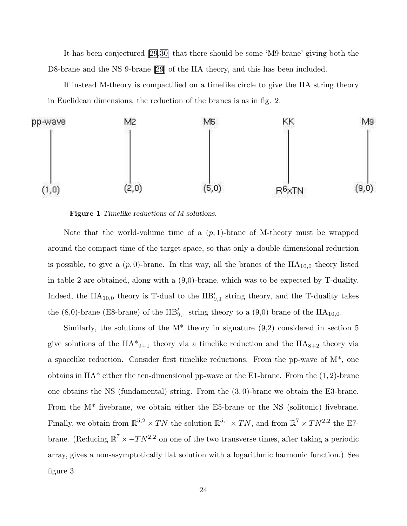It has been conjectured [\[29](#page-35-0),[30\]](#page-35-0) that there should be some 'M9-brane' giving both the D8-brane and the NS 9-brane [\[29](#page-35-0)] of the IIA theory, and this has been included.

If instead M-theory is compactified on a timelike circle to give the IIA string theory in Euclidean dimensions, the reduction of the branes is as in fig. 2.



Figure 1 Timelike reductions of M solutions.

Note that the world-volume time of a  $(p, 1)$ -brane of M-theory must be wrapped around the compact time of the target space, so that only a double dimensional reduction is possible, to give a  $(p, 0)$ -brane. In this way, all the branes of the  $\text{IIA}_{10,0}$  theory listed in table 2 are obtained, along with a (9,0)-brane, which was to be expected by T-duality. Indeed, the  $\text{IIA}_{10,0}$  theory is T-dual to the  $\text{IIB}'_{9,1}$  string theory, and the T-duality takes the  $(8,0)$ -brane (E8-brane) of the  $IIB'_{9,1}$  string theory to a  $(9,0)$  brane of the  $IIA_{10,0}$ .

Similarly, the solutions of the  $M^*$  theory in signature  $(9,2)$  considered in section 5 give solutions of the  $IIA^*_{9+1}$  theory via a timelike reduction and the  $IIA_{8+2}$  theory via a spacelike reduction. Consider first timelike reductions. From the pp-wave of M\*, one obtains in  $IIA^*$  either the ten-dimensional pp-wave or the E1-brane. From the  $(1, 2)$ -brane one obtains the NS (fundamental) string. From the  $(3,0)$ -brane we obtain the E3-brane. From the M\* fivebrane, we obtain either the E5-brane or the NS (solitonic) fivebrane. Finally, we obtain from  $\mathbb{R}^{5,2} \times TN$  the solution  $\mathbb{R}^{5,1} \times TN$ , and from  $\mathbb{R}^7 \times TN^{2,2}$  the E7brane. (Reducing  $\mathbb{R}^7 \times -TN^{2,2}$  on one of the two transverse times, after taking a periodic array, gives a non-asymptotically flat solution with a logarithmic harmonic function.) See figure 3.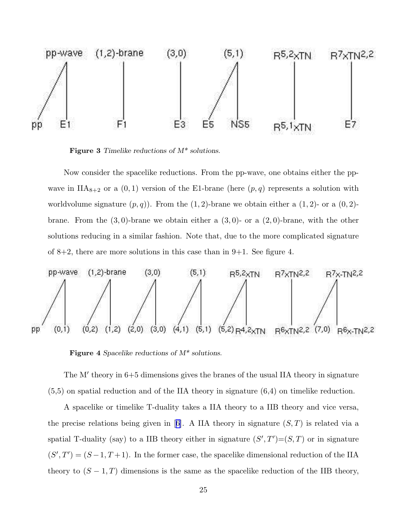

Figure 3 Timelike reductions of M\* solutions.

Now consider the spacelike reductions. From the pp-wave, one obtains either the ppwave in  $IIA_{8+2}$  or a  $(0, 1)$  version of the E1-brane (here  $(p, q)$  represents a solution with worldvolume signature  $(p, q)$ ). From the  $(1, 2)$ -brane we obtain either a  $(1, 2)$ - or a  $(0, 2)$ brane. From the  $(3,0)$ -brane we obtain either a  $(3,0)$ - or a  $(2,0)$ -brane, with the other solutions reducing in a similar fashion. Note that, due to the more complicated signature of  $8+2$ , there are more solutions in this case than in  $9+1$ . See figure 4.



Figure 4 Spacelike reductions of  $M^*$  solutions.

The M' theory in  $6+5$  dimensions gives the branes of the usual IIA theory in signature (5,5) on spatial reduction and of the IIA theory in signature (6,4) on timelike reduction.

A spacelike or timelike T-duality takes a IIA theory to a IIB theory and vice versa, theprecise relations being given in [[6\]](#page-34-0). A IIA theory in signature  $(S, T)$  is related via a spatial T-duality (say) to a IIB theory either in signature  $(S', T') = (S, T)$  or in signature  $(S',T')=(S-1,T+1)$ . In the former case, the spacelike dimensional reduction of the IIA theory to  $(S-1,T)$  dimensions is the same as the spacelike reduction of the IIB theory,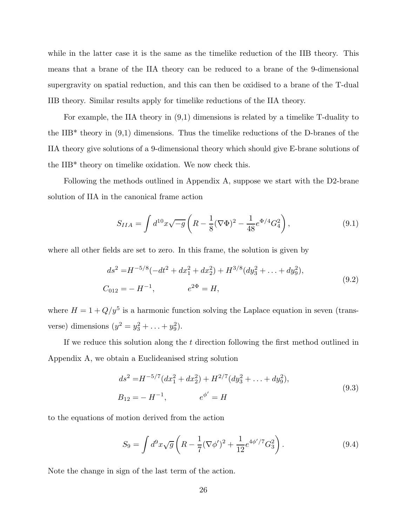while in the latter case it is the same as the timelike reduction of the IIB theory. This means that a brane of the IIA theory can be reduced to a brane of the 9-dimensional supergravity on spatial reduction, and this can then be oxidised to a brane of the T-dual IIB theory. Similar results apply for timelike reductions of the IIA theory.

For example, the IIA theory in (9,1) dimensions is related by a timelike T-duality to the IIB\* theory in  $(9,1)$  dimensions. Thus the timelike reductions of the D-branes of the IIA theory give solutions of a 9-dimensional theory which should give E-brane solutions of the IIB\* theory on timelike oxidation. We now check this.

Following the methods outlined in Appendix A, suppose we start with the D2-brane solution of IIA in the canonical frame action

$$
S_{IIA} = \int d^{10}x \sqrt{-g} \left( R - \frac{1}{8} (\nabla \Phi)^2 - \frac{1}{48} e^{\Phi/4} G_4^2 \right), \tag{9.1}
$$

where all other fields are set to zero. In this frame, the solution is given by

$$
ds^{2} = H^{-5/8}(-dt^{2} + dx_{1}^{2} + dx_{2}^{2}) + H^{3/8}(dy_{3}^{2} + \dots + dy_{9}^{2}),
$$
  
\n
$$
C_{012} = -H^{-1}, \qquad e^{2\Phi} = H,
$$
\n(9.2)

where  $H = 1 + Q/y^5$  is a harmonic function solving the Laplace equation in seven (transverse) dimensions  $(y^2 = y_3^2 + ... + y_9^2)$ .

If we reduce this solution along the t direction following the first method outlined in Appendix A, we obtain a Euclideanised string solution

$$
ds^{2} = H^{-5/7} (dx_{1}^{2} + dx_{2}^{2}) + H^{2/7} (dy_{3}^{2} + ... + dy_{9}^{2}),
$$
  
\n
$$
B_{12} = -H^{-1}, \qquad e^{\phi'} = H
$$
\n(9.3)

to the equations of motion derived from the action

$$
S_9 = \int d^9x \sqrt{g} \left( R - \frac{1}{7} (\nabla \phi')^2 + \frac{1}{12} e^{4\phi'/7} G_3^2 \right). \tag{9.4}
$$

Note the change in sign of the last term of the action.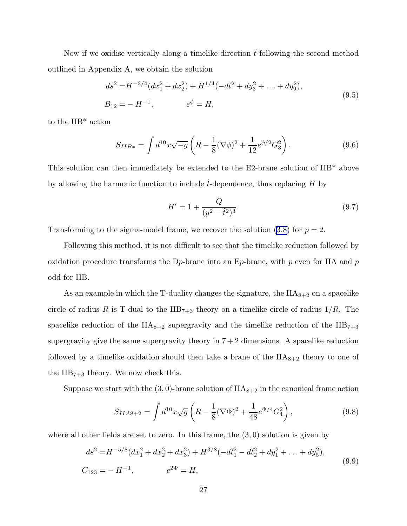Now if we oxidise vertically along a timelike direction  $\tilde{t}$  following the second method outlined in Appendix A, we obtain the solution

$$
ds^{2} = H^{-3/4}(dx_{1}^{2} + dx_{2}^{2}) + H^{1/4}(-d\tilde{t}^{2} + dy_{3}^{2} + \dots + dy_{9}^{2}),
$$
  
\n
$$
B_{12} = -H^{-1}, \qquad e^{\phi} = H,
$$
\n(9.5)

to the IIB\* action

$$
S_{IIB*} = \int d^{10}x \sqrt{-g} \left( R - \frac{1}{8} (\nabla \phi)^2 + \frac{1}{12} e^{\phi/2} G_3^2 \right). \tag{9.6}
$$

This solution can then immediately be extended to the E2-brane solution of IIB\* above by allowing the harmonic function to include  $t$ -dependence, thus replacing  $H$  by

$$
H' = 1 + \frac{Q}{(y^2 - \tilde{t}^2)^3}.
$$
\n(9.7)

Transforming to the sigma-model frame, we recover the solution [\(3.8\)](#page-8-0) for  $p = 2$ .

Following this method, it is not difficult to see that the timelike reduction followed by oxidation procedure transforms the D<sub>p</sub>-brane into an E<sub>p</sub>-brane, with p even for IIA and p odd for IIB.

As an example in which the T-duality changes the signature, the  $IIA_{8+2}$  on a spacelike circle of radius R is T-dual to the  $\text{IIB}_{7+3}$  theory on a timelike circle of radius  $1/R$ . The spacelike reduction of the  $\text{IIA}_{8+2}$  supergravity and the timelike reduction of the  $\text{IIB}_{7+3}$ supergravity give the same supergravity theory in  $7 + 2$  dimensions. A spacelike reduction followed by a timelike oxidation should then take a brane of the  $IIA_{8+2}$  theory to one of the  $\text{IIB}_{7+3}$  theory. We now check this.

Suppose we start with the  $(3,0)$ -brane solution of  $IIA_{8+2}$  in the canonical frame action

$$
S_{IIA8+2} = \int d^{10}x \sqrt{g} \left( R - \frac{1}{8} (\nabla \Phi)^2 + \frac{1}{48} e^{\Phi/4} G_4^2 \right), \tag{9.8}
$$

where all other fields are set to zero. In this frame, the  $(3,0)$  solution is given by

$$
ds^{2} = H^{-5/8}(dx_{1}^{2} + dx_{2}^{2} + dx_{3}^{2}) + H^{3/8}(-d\tilde{t}_{1}^{2} - d\tilde{t}_{2}^{2} + dy_{1}^{2} + \dots + dy_{5}^{2}),
$$
  
\n
$$
C_{123} = -H^{-1}, \qquad e^{2\Phi} = H,
$$
\n(9.9)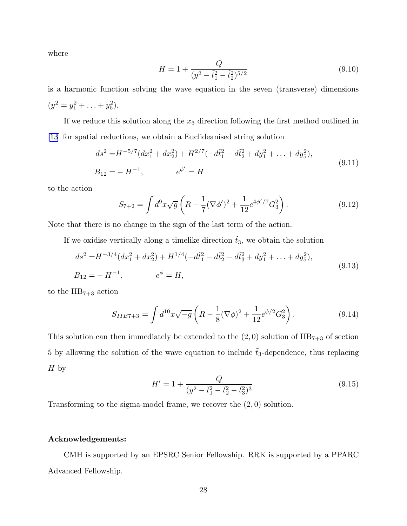where

$$
H = 1 + \frac{Q}{(y^2 - \tilde{t}_1^2 - \tilde{t}_2^2)^{5/2}}
$$
\n(9.10)

is a harmonic function solving the wave equation in the seven (transverse) dimensions  $(y^2 = y_1^2 + \ldots + y_5^2).$ 

If we reduce this solution along the  $x_3$  direction following the first method outlined in [\[13](#page-34-0)] for spatial reductions, we obtain a Euclideanised string solution

$$
ds^{2} = H^{-5/7} (dx_{1}^{2} + dx_{2}^{2}) + H^{2/7} (-d\tilde{t}_{1}^{2} - d\tilde{t}_{2}^{2} + dy_{1}^{2} + \dots + dy_{5}^{2}),
$$
  
\n
$$
B_{12} = -H^{-1}, \qquad e^{\phi'} = H
$$
\n(9.11)

to the action

$$
S_{7+2} = \int d^9x \sqrt{g} \left( R - \frac{1}{7} (\nabla \phi')^2 + \frac{1}{12} e^{4\phi'/7} G_3^2 \right). \tag{9.12}
$$

Note that there is no change in the sign of the last term of the action.

If we oxidise vertically along a timelike direction  $\tilde{t}_3$ , we obtain the solution

$$
ds^{2} = H^{-3/4}(dx_{1}^{2} + dx_{2}^{2}) + H^{1/4}(-d\tilde{t}_{1}^{2} - d\tilde{t}_{2}^{2} - d\tilde{t}_{3}^{2} + dy_{1}^{2} + \dots + dy_{5}^{2}),
$$
  
\n
$$
B_{12} = -H^{-1}, \qquad e^{\phi} = H,
$$
\n(9.13)

to the  $\text{IIB}_{7+3}$  action

$$
S_{IIB7+3} = \int d^{10}x \sqrt{-g} \left( R - \frac{1}{8} (\nabla \phi)^2 + \frac{1}{12} e^{\phi/2} G_3^2 \right). \tag{9.14}
$$

This solution can then immediately be extended to the  $(2,0)$  solution of  $\text{IIB}_{7+3}$  of section 5 by allowing the solution of the wave equation to include  $t_3$ -dependence, thus replacing  $H<sub>by</sub>$ 

$$
H' = 1 + \frac{Q}{(y^2 - \tilde{t}_1^2 - \tilde{t}_2^2 - \tilde{t}_3^2)^3}.
$$
\n(9.15)

Transforming to the sigma-model frame, we recover the (2, 0) solution.

# Acknowledgements:

CMH is supported by an EPSRC Senior Fellowship. RRK is supported by a PPARC Advanced Fellowship.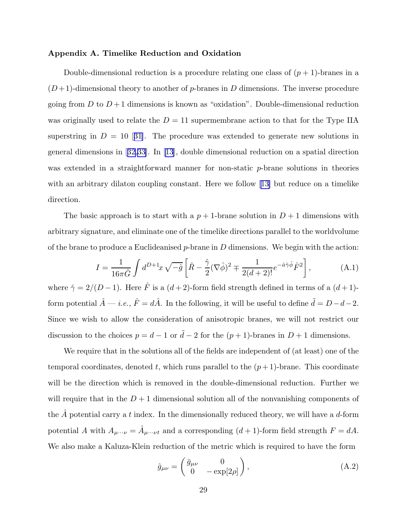## <span id="page-29-0"></span>Appendix A. Timelike Reduction and Oxidation

Double-dimensional reduction is a procedure relating one class of  $(p + 1)$ -branes in a  $(D+1)$ -dimensional theory to another of p-branes in D dimensions. The inverse procedure going from D to  $D+1$  dimensions is known as "oxidation". Double-dimensional reduction was originally used to relate the  $D = 11$  supermembrane action to that for the Type IIA superstringin  $D = 10$  [[31\]](#page-35-0). The procedure was extended to generate new solutions in general dimensions in[[32,33](#page-35-0)]. In [\[13](#page-34-0)], double dimensional reduction on a spatial direction was extended in a straightforward manner for non-static p-brane solutions in theories with an arbitrary dilaton coupling constant. Here we follow [[13\]](#page-34-0) but reduce on a timelike direction.

The basic approach is to start with a  $p + 1$ -brane solution in  $D + 1$  dimensions with arbitrary signature, and eliminate one of the timelike directions parallel to the worldvolume of the brane to produce a Euclideanised  $p$ -brane in D dimensions. We begin with the action:

$$
I = \frac{1}{16\pi \hat{G}} \int d^{D+1}x \sqrt{-\hat{g}} \left[ \hat{R} - \frac{\hat{\gamma}}{2} (\nabla \hat{\phi})^2 \mp \frac{1}{2(d+2)!} e^{-\hat{a}\hat{\gamma}\hat{\phi}} \hat{F}^2 \right],
$$
 (A.1)

where  $\hat{\gamma} = 2/(D-1)$ . Here  $\hat{F}$  is a  $(d+2)$ -form field strength defined in terms of a  $(d+1)$ form potential  $\hat{A}$  — *i.e.*,  $\hat{F} = d\hat{A}$ . In the following, it will be useful to define  $\tilde{d} = D - d - 2$ . Since we wish to allow the consideration of anisotropic branes, we will not restrict our discussion to the choices  $p = d - 1$  or  $\tilde{d} - 2$  for the  $(p + 1)$ -branes in  $D + 1$  dimensions.

We require that in the solutions all of the fields are independent of (at least) one of the temporal coordinates, denoted t, which runs parallel to the  $(p+1)$ -brane. This coordinate will be the direction which is removed in the double-dimensional reduction. Further we will require that in the  $D+1$  dimensional solution all of the nonvanishing components of the A potential carry a t index. In the dimensionally reduced theory, we will have a  $d$ -form potential A with  $A_{\mu\cdots\nu} = \hat{A}_{\mu\cdots\nu t}$  and a corresponding  $(d+1)$ -form field strength  $F = dA$ . We also make a Kaluza-Klein reduction of the metric which is required to have the form

$$
\hat{g}_{\mu\nu} = \begin{pmatrix} \bar{g}_{\mu\nu} & 0 \\ 0 & -\exp[2\rho] \end{pmatrix},\tag{A.2}
$$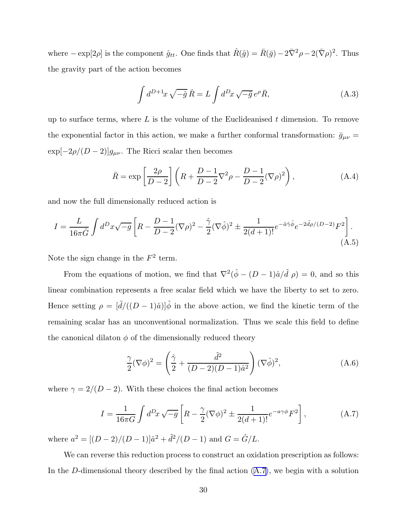<span id="page-30-0"></span>where  $-\exp[2\rho]$  is the component  $\hat{g}_{tt}$ . One finds that  $\hat{R}(\hat{g}) = \bar{R}(\bar{g}) - 2\bar{\nabla}^2 \rho - 2(\bar{\nabla}\rho)^2$ . Thus the gravity part of the action becomes

$$
\int d^{D+1}x \sqrt{-\hat{g}} \hat{R} = L \int d^{D}x \sqrt{-\bar{g}} e^{\rho} \bar{R}, \qquad (A.3)
$$

up to surface terms, where  $L$  is the volume of the Euclideanised  $t$  dimension. To remove the exponential factor in this action, we make a further conformal transformation:  $\bar{g}_{\mu\nu}$  =  $\exp[-2\rho/(D-2)]g_{\mu\nu}$ . The Ricci scalar then becomes

$$
\bar{R} = \exp\left[\frac{2\rho}{D-2}\right] \left(R + \frac{D-1}{D-2}\nabla^2\rho - \frac{D-1}{D-2}(\nabla\rho)^2\right),\tag{A.4}
$$

and now the full dimensionally reduced action is

$$
I = \frac{L}{16\pi \hat{G}} \int d^D x \sqrt{-g} \left[ R - \frac{D-1}{D-2} (\nabla \rho)^2 - \frac{\hat{\gamma}}{2} (\nabla \hat{\phi})^2 \pm \frac{1}{2(d+1)!} e^{-\hat{a}\hat{\gamma}\hat{\phi}} e^{-2\tilde{d}\rho/(D-2)} F^2 \right].
$$
\n(A.5)

Note the sign change in the  $F^2$  term.

From the equations of motion, we find that  $\nabla^2(\hat{\phi} - (D-1)\hat{a}/\tilde{d} \rho) = 0$ , and so this linear combination represents a free scalar field which we have the liberty to set to zero. Hence setting  $\rho = [\tilde{d}/((D-1)\hat{a})]\hat{\phi}$  in the above action, we find the kinetic term of the remaining scalar has an unconventional normalization. Thus we scale this field to define the canonical dilaton  $\phi$  of the dimensionally reduced theory

$$
\frac{\gamma}{2}(\nabla\phi)^2 = \left(\frac{\hat{\gamma}}{2} + \frac{\tilde{d}^2}{(D-2)(D-1)\hat{a}^2}\right)(\nabla\hat{\phi})^2,\tag{A.6}
$$

where  $\gamma = 2/(D-2)$ . With these choices the final action becomes

$$
I = \frac{1}{16\pi G} \int d^D x \sqrt{-g} \left[ R - \frac{\gamma}{2} (\nabla \phi)^2 \pm \frac{1}{2(d+1)!} e^{-a\gamma \phi} F^2 \right],
$$
 (A.7)

where  $a^2 = [(D-2)/(D-1)]\hat{a}^2 + \tilde{d}^2/(D-1)$  and  $G = \hat{G}/L$ .

We can reverse this reduction process to construct an oxidation prescription as follows: In the D-dimensional theory described by the final action  $(A.7)$ , we begin with a solution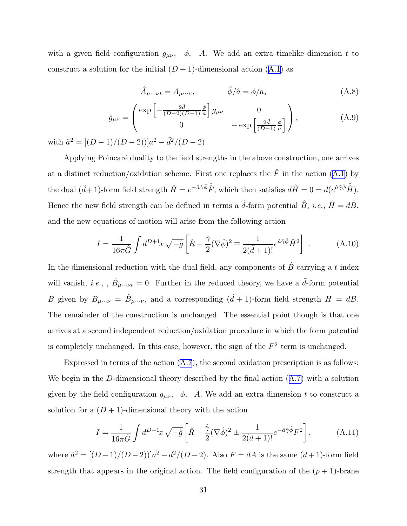with a given field configuration  $g_{\mu\nu}$ ,  $\phi$ , A. We add an extra timelike dimension t to constructa solution for the initial  $(D+1)$ -dimensional action  $(A.1)$  $(A.1)$  as

$$
\hat{A}_{\mu\cdots\nu t} = A_{\mu\cdots\nu}, \qquad \hat{\phi}/\hat{a} = \phi/a, \qquad (A.8)
$$

$$
\hat{g}_{\mu\nu} = \begin{pmatrix} \exp\left[-\frac{2\tilde{d}}{(D-2)(D-1)}\frac{\phi}{a}\right]g_{\mu\nu} & 0\\ 0 & -\exp\left[\frac{2\tilde{d}}{(D-1)}\frac{\phi}{a}\right] \end{pmatrix},
$$
(A.9)

with  $\hat{a}^2 = [(D-1)/(D-2))]a^2 - \tilde{d}^2/(D-2).$ 

Applying Poincar´e duality to the field strengths in the above construction, one arrives at a distinct reduction/oxidation scheme. First one replaces the  $\hat{F}$  in the action [\(A.1\)](#page-29-0) by the dual  $({\tilde{d}}+1)$ -form field strength  $\hat{H} = e^{-\hat{a}\hat{\gamma}\hat{\phi}} \hat{\tilde{F}}$ , which then satisfies  $d\hat{H} = 0 = d(e^{\hat{a}\hat{\gamma}\hat{\phi}} \hat{\tilde{H}})$ . Hence the new field strength can be defined in terms a  $\tilde{d}$ -form potential  $\hat{B}$ , *i.e.*,  $\hat{H} = d\hat{B}$ , and the new equations of motion will arise from the following action

$$
I = \frac{1}{16\pi \hat{G}} \int d^{D+1}x \sqrt{-\hat{g}} \left[ \hat{R} - \frac{\hat{\gamma}}{2} (\nabla \hat{\phi})^2 \mp \frac{1}{2(\tilde{d}+1)!} e^{\hat{a}\hat{\gamma}\hat{\phi}} \hat{H}^2 \right] . \tag{A.10}
$$

In the dimensional reduction with the dual field, any components of  $\hat{B}$  carrying a t index will vanish, *i.e.*, ,  $\hat{B}_{\mu\cdots\nu t} = 0$ . Further in the reduced theory, we have a  $\tilde{d}$ -form potential B given by  $B_{\mu\cdots\nu} = \hat{B}_{\mu\cdots\nu}$ , and a corresponding  $(\tilde{d}+1)$ -form field strength  $H = dB$ . The remainder of the construction is unchanged. The essential point though is that one arrives at a second independent reduction/oxidation procedure in which the form potential is completely unchanged. In this case, however, the sign of the  $F<sup>2</sup>$  term is unchanged.

Expressed in terms of the action([A.7](#page-30-0)), the second oxidation prescription is as follows: Webegin in the D-dimensional theory described by the final action  $(A.7)$  $(A.7)$  with a solution given by the field configuration  $g_{\mu\nu}$ ,  $\phi$ , A. We add an extra dimension t to construct a solution for a  $(D+1)$ -dimensional theory with the action

$$
I = \frac{1}{16\pi \hat{G}} \int d^{D+1}x \sqrt{-\hat{g}} \left[ \hat{R} - \frac{\hat{\gamma}}{2} (\nabla \hat{\phi})^2 \pm \frac{1}{2(d+1)!} e^{-\hat{a}\hat{\gamma}\hat{\phi}} F^2 \right],
$$
 (A.11)

where  $\hat{a}^2 = [(D-1)/(D-2))]a^2 - d^2/(D-2)$ . Also  $F = dA$  is the same  $(d+1)$ -form field strength that appears in the original action. The field configuration of the  $(p + 1)$ -brane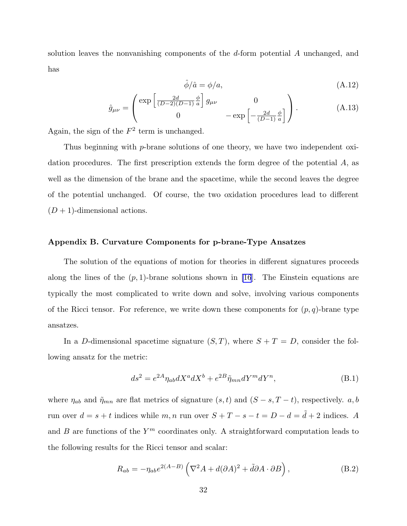solution leaves the nonvanishing components of the d-form potential A unchanged, and has

$$
\hat{\phi}/\hat{a} = \phi/a,\tag{A.12}
$$

$$
\hat{g}_{\mu\nu} = \begin{pmatrix} \exp\left[\frac{2d}{(D-2)(D-1)}\frac{\phi}{a}\right]g_{\mu\nu} & 0\\ 0 & -\exp\left[-\frac{2d}{(D-1)}\frac{\phi}{a}\right] \end{pmatrix} .
$$
 (A.13)

Again, the sign of the  $F^2$  term is unchanged.

Thus beginning with p-brane solutions of one theory, we have two independent oxidation procedures. The first prescription extends the form degree of the potential A, as well as the dimension of the brane and the spacetime, while the second leaves the degree of the potential unchanged. Of course, the two oxidation procedures lead to different  $(D+1)$ -dimensional actions.

# Appendix B. Curvature Components for p-brane-Type Ansatzes

The solution of the equations of motion for theories in different signatures proceeds along the lines of the  $(p, 1)$ -brane solutions shown in [\[16](#page-34-0)]. The Einstein equations are typically the most complicated to write down and solve, involving various components of the Ricci tensor. For reference, we write down these components for  $(p, q)$ -brane type ansatzes.

In a D-dimensional spacetime signature  $(S, T)$ , where  $S + T = D$ , consider the following ansatz for the metric:

$$
ds^{2} = e^{2A} \eta_{ab} dX^{a} dX^{b} + e^{2B} \tilde{\eta}_{mn} dY^{m} dY^{n}, \qquad (B.1)
$$

where  $\eta_{ab}$  and  $\tilde{\eta}_{mn}$  are flat metrics of signature  $(s, t)$  and  $(S - s, T - t)$ , respectively. a, b run over  $d = s + t$  indices while  $m, n$  run over  $S + T - s - t = D - d = \tilde{d} + 2$  indices. A and  $B$  are functions of the  $Y^m$  coordinates only. A straightforward computation leads to the following results for the Ricci tensor and scalar:

$$
R_{ab} = -\eta_{ab} e^{2(A-B)} \left( \nabla^2 A + d(\partial A)^2 + \tilde{d}\partial A \cdot \partial B \right), \tag{B.2}
$$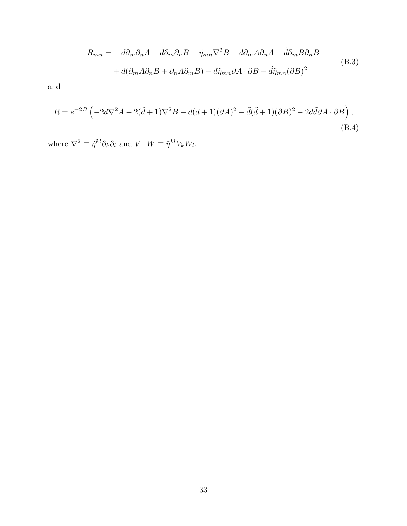$$
R_{mn} = -d\partial_m \partial_n A - \tilde{d}\partial_m \partial_n B - \tilde{\eta}_{mn} \nabla^2 B - d\partial_m A \partial_n A + \tilde{d}\partial_m B \partial_n B
$$
  
+  $d(\partial_m A \partial_n B + \partial_n A \partial_m B) - d\tilde{\eta}_{mn} \partial A \cdot \partial B - \tilde{d}\tilde{\eta}_{mn} (\partial B)^2$  (B.3)

and

$$
R = e^{-2B} \left( -2d\nabla^2 A - 2(\tilde{d} + 1)\nabla^2 B - d(d+1)(\partial A)^2 - \tilde{d}(\tilde{d} + 1)(\partial B)^2 - 2d\tilde{d}\partial A \cdot \partial B \right),
$$
\n(B.4)

where  $\nabla^2 \equiv \tilde{\eta}^{kl} \partial_k \partial_l$  and  $V \cdot W \equiv \tilde{\eta}^{kl} V_k W_l$ .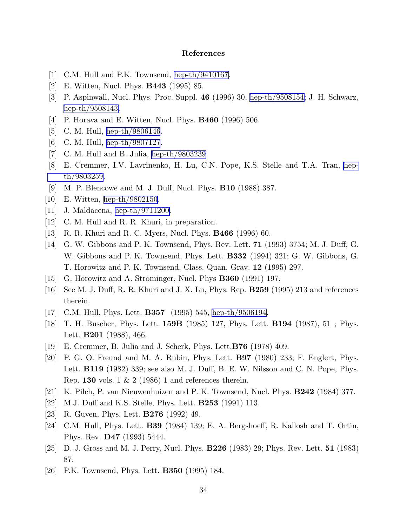# References

- <span id="page-34-0"></span>[1] C.M. Hull and P.K. Townsend, [hep-th/9410167.](http://arxiv.org/abs/hep-th/9410167)
- [2] E. Witten, Nucl. Phys. B443 (1995) 85.
- [3] P. Aspinwall, Nucl. Phys. Proc. Suppl. 46 (1996) 30, [hep-th/9508154;](http://arxiv.org/abs/hep-th/9508154) J. H. Schwarz, [hep-th/9508143.](http://arxiv.org/abs/hep-th/9508143)
- [4] P. Horava and E. Witten, Nucl. Phys. B460 (1996) 506.
- [5] C. M. Hull, [hep-th/9806146](http://arxiv.org/abs/hep-th/9806146).
- [6] C. M. Hull, [hep-th/9807127](http://arxiv.org/abs/hep-th/9807127).
- [7] C. M. Hull and B. Julia, [hep-th/9803239.](http://arxiv.org/abs/hep-th/9803239)
- [8] E. Cremmer, I.V. Lavrinenko, H. Lu, C.N. Pope, K.S. Stelle and T.A. Tran, [hep](http://arxiv.org/abs/hep-th/9803259)[th/9803259](http://arxiv.org/abs/hep-th/9803259).
- [9] M. P. Blencowe and M. J. Duff, Nucl. Phys. B10 (1988) 387.
- [10] E. Witten, [hep-th/9802150](http://arxiv.org/abs/hep-th/9802150).
- [11] J. Maldacena, [hep-th/9711200.](http://arxiv.org/abs/hep-th/9711200)
- [12] C. M. Hull and R. R. Khuri, in preparation.
- [13] R. R. Khuri and R. C. Myers, Nucl. Phys. B466 (1996) 60.
- [14] G. W. Gibbons and P. K. Townsend, Phys. Rev. Lett. 71 (1993) 3754; M. J. Duff, G. W. Gibbons and P. K. Townsend, Phys. Lett. B332 (1994) 321; G. W. Gibbons, G. T. Horowitz and P. K. Townsend, Class. Quan. Grav. 12 (1995) 297.
- [15] G. Horowitz and A. Strominger, Nucl. Phys B360 (1991) 197.
- [16] See M. J. Duff, R. R. Khuri and J. X. Lu, Phys. Rep. B259 (1995) 213 and references therein.
- [17] C.M. Hull, Phys. Lett. **B357** (1995) 545, [hep-th/9506194.](http://arxiv.org/abs/hep-th/9506194)
- [18] T. H. Buscher, Phys. Lett. 159B (1985) 127, Phys. Lett. B194 (1987), 51 ; Phys. Lett. **B201** (1988), 466.
- [19] E. Cremmer, B. Julia and J. Scherk, Phys. Lett.B76 (1978) 409.
- [20] P. G. O. Freund and M. A. Rubin, Phys. Lett. B97 (1980) 233; F. Englert, Phys. Lett. B119 (1982) 339; see also M. J. Duff, B. E. W. Nilsson and C. N. Pope, Phys. Rep. 130 vols.  $1 \& 2 (1986) 1$  and references therein.
- [21] K. Pilch, P. van Nieuwenhuizen and P. K. Townsend, Nucl. Phys. B242 (1984) 377.
- [22] M.J. Duff and K.S. Stelle, Phys. Lett. B253 (1991) 113.
- [23] R. Guven, Phys. Lett. B276 (1992) 49.
- [24] C.M. Hull, Phys. Lett. B39 (1984) 139; E. A. Bergshoeff, R. Kallosh and T. Ortin, Phys. Rev. D47 (1993) 5444.
- [25] D. J. Gross and M. J. Perry, Nucl. Phys. B226 (1983) 29; Phys. Rev. Lett. 51 (1983) 87.
- [26] P.K. Townsend, Phys. Lett. B350 (1995) 184.